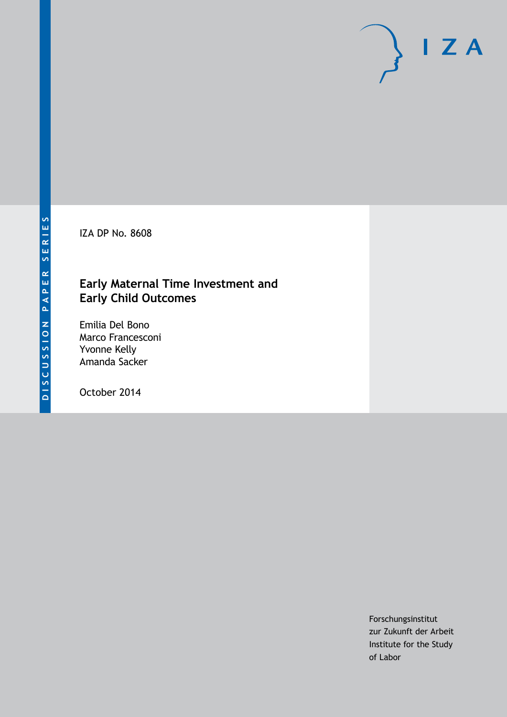IZA DP No. 8608

# **Early Maternal Time Investment and Early Child Outcomes**

Emilia Del Bono Marco Francesconi Yvonne Kelly Amanda Sacker

October 2014

Forschungsinstitut zur Zukunft der Arbeit Institute for the Study of Labor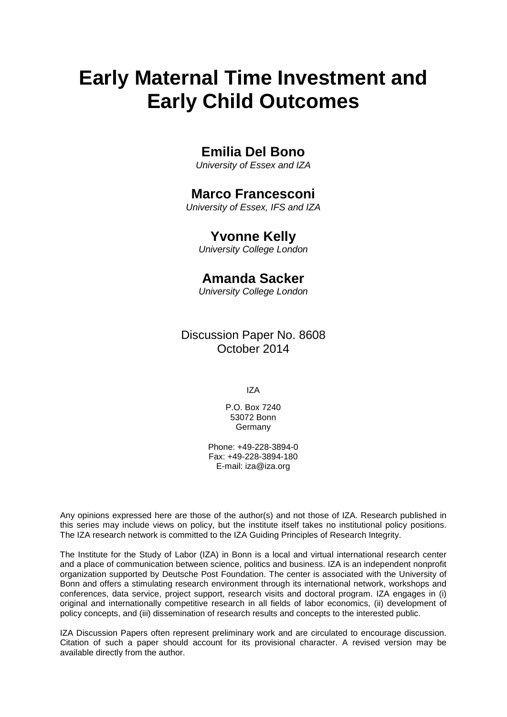# **Early Maternal Time Investment and Early Child Outcomes**

## **Emilia Del Bono**

*University of Essex and IZA*

# **Marco Francesconi**

*University of Essex, IFS and IZA*

### **Yvonne Kelly**

*University College London*

# **Amanda Sacker**

*University College London*

Discussion Paper No. 8608 October 2014

IZA

P.O. Box 7240 53072 Bonn Germany

Phone: +49-228-3894-0 Fax: +49-228-3894-180 E-mail: [iza@iza.org](mailto:iza@iza.org)

Any opinions expressed here are those of the author(s) and not those of IZA. Research published in this series may include views on policy, but the institute itself takes no institutional policy positions. The IZA research network is committed to the IZA Guiding Principles of Research Integrity.

The Institute for the Study of Labor (IZA) in Bonn is a local and virtual international research center and a place of communication between science, politics and business. IZA is an independent nonprofit organization supported by Deutsche Post Foundation. The center is associated with the University of Bonn and offers a stimulating research environment through its international network, workshops and conferences, data service, project support, research visits and doctoral program. IZA engages in (i) original and internationally competitive research in all fields of labor economics, (ii) development of policy concepts, and (iii) dissemination of research results and concepts to the interested public.

<span id="page-1-0"></span>IZA Discussion Papers often represent preliminary work and are circulated to encourage discussion. Citation of such a paper should account for its provisional character. A revised version may be available directly from the author.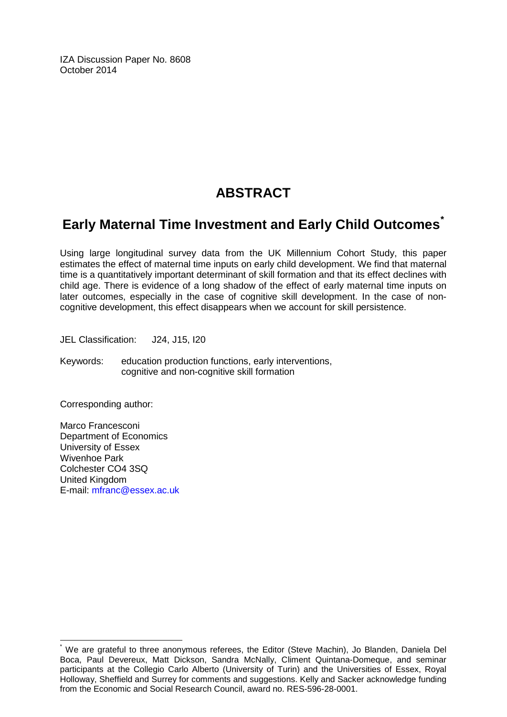IZA Discussion Paper No. 8608 October 2014

# **ABSTRACT**

# **Early Maternal Time Investment and Early Child Outcomes[\\*](#page-1-0)**

Using large longitudinal survey data from the UK Millennium Cohort Study, this paper estimates the effect of maternal time inputs on early child development. We find that maternal time is a quantitatively important determinant of skill formation and that its effect declines with child age. There is evidence of a long shadow of the effect of early maternal time inputs on later outcomes, especially in the case of cognitive skill development. In the case of noncognitive development, this effect disappears when we account for skill persistence.

JEL Classification: J24, J15, I20

Keywords: education production functions, early interventions, cognitive and non-cognitive skill formation

Corresponding author:

Marco Francesconi Department of Economics University of Essex Wivenhoe Park Colchester CO4 3SQ United Kingdom E-mail: [mfranc@essex.ac.uk](mailto:mfranc@essex.ac.uk)

\* We are grateful to three anonymous referees, the Editor (Steve Machin), Jo Blanden, Daniela Del Boca, Paul Devereux, Matt Dickson, Sandra McNally, Climent Quintana-Domeque, and seminar participants at the Collegio Carlo Alberto (University of Turin) and the Universities of Essex, Royal Holloway, Sheffield and Surrey for comments and suggestions. Kelly and Sacker acknowledge funding from the Economic and Social Research Council, award no. RES-596-28-0001.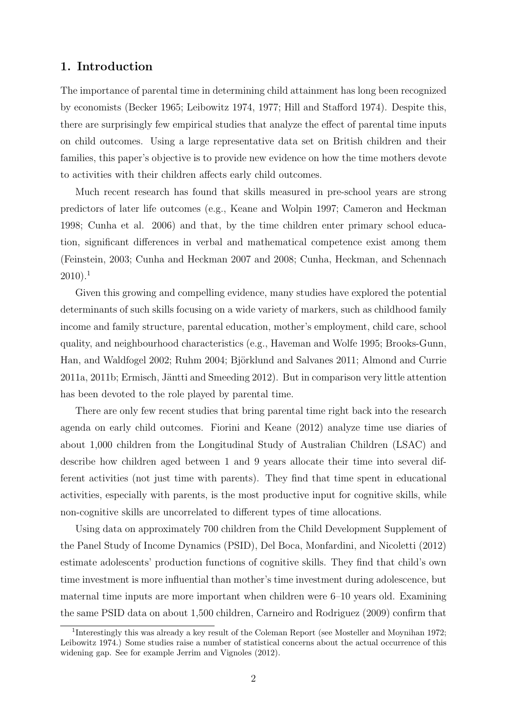### 1. Introduction

The importance of parental time in determining child attainment has long been recognized by economists (Becker 1965; Leibowitz 1974, 1977; Hill and Stafford 1974). Despite this, there are surprisingly few empirical studies that analyze the effect of parental time inputs on child outcomes. Using a large representative data set on British children and their families, this paper's objective is to provide new evidence on how the time mothers devote to activities with their children affects early child outcomes.

Much recent research has found that skills measured in pre-school years are strong predictors of later life outcomes (e.g., Keane and Wolpin 1997; Cameron and Heckman 1998; Cunha et al. 2006) and that, by the time children enter primary school education, significant differences in verbal and mathematical competence exist among them (Feinstein, 2003; Cunha and Heckman 2007 and 2008; Cunha, Heckman, and Schennach  $2010$ ).<sup>1</sup>

Given this growing and compelling evidence, many studies have explored the potential determinants of such skills focusing on a wide variety of markers, such as childhood family income and family structure, parental education, mother's employment, child care, school quality, and neighbourhood characteristics (e.g., Haveman and Wolfe 1995; Brooks-Gunn, Han, and Waldfogel 2002; Ruhm 2004; Björklund and Salvanes 2011; Almond and Currie  $2011a$ ,  $2011b$ ; Ermisch, Jäntti and Smeeding  $2012$ ). But in comparison very little attention has been devoted to the role played by parental time.

There are only few recent studies that bring parental time right back into the research agenda on early child outcomes. Fiorini and Keane (2012) analyze time use diaries of about 1,000 children from the Longitudinal Study of Australian Children (LSAC) and describe how children aged between 1 and 9 years allocate their time into several different activities (not just time with parents). They find that time spent in educational activities, especially with parents, is the most productive input for cognitive skills, while non-cognitive skills are uncorrelated to different types of time allocations.

Using data on approximately 700 children from the Child Development Supplement of the Panel Study of Income Dynamics (PSID), Del Boca, Monfardini, and Nicoletti (2012) estimate adolescents' production functions of cognitive skills. They find that child's own time investment is more influential than mother's time investment during adolescence, but maternal time inputs are more important when children were 6–10 years old. Examining the same PSID data on about 1,500 children, Carneiro and Rodriguez (2009) confirm that

<sup>&</sup>lt;sup>1</sup>Interestingly this was already a key result of the Coleman Report (see Mosteller and Moynihan 1972; Leibowitz 1974.) Some studies raise a number of statistical concerns about the actual occurrence of this widening gap. See for example Jerrim and Vignoles (2012).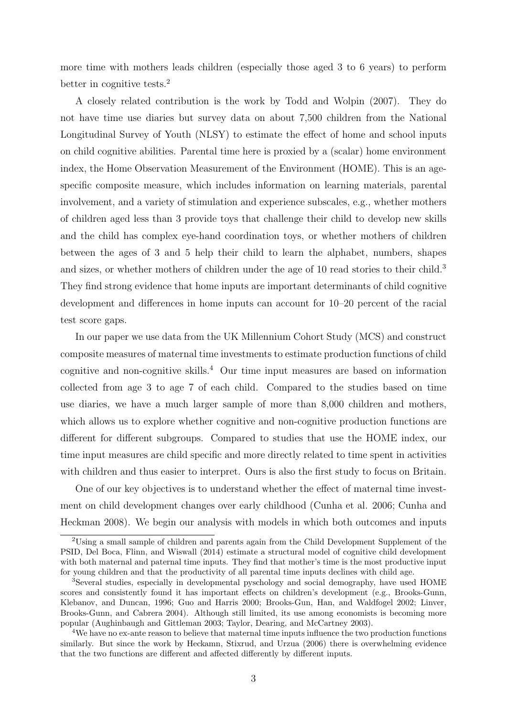more time with mothers leads children (especially those aged 3 to 6 years) to perform better in cognitive tests.<sup>2</sup>

A closely related contribution is the work by Todd and Wolpin (2007). They do not have time use diaries but survey data on about 7,500 children from the National Longitudinal Survey of Youth (NLSY) to estimate the effect of home and school inputs on child cognitive abilities. Parental time here is proxied by a (scalar) home environment index, the Home Observation Measurement of the Environment (HOME). This is an agespecific composite measure, which includes information on learning materials, parental involvement, and a variety of stimulation and experience subscales, e.g., whether mothers of children aged less than 3 provide toys that challenge their child to develop new skills and the child has complex eye-hand coordination toys, or whether mothers of children between the ages of 3 and 5 help their child to learn the alphabet, numbers, shapes and sizes, or whether mothers of children under the age of 10 read stories to their child.<sup>3</sup> They find strong evidence that home inputs are important determinants of child cognitive development and differences in home inputs can account for 10–20 percent of the racial test score gaps.

In our paper we use data from the UK Millennium Cohort Study (MCS) and construct composite measures of maternal time investments to estimate production functions of child cognitive and non-cognitive skills.<sup>4</sup> Our time input measures are based on information collected from age 3 to age 7 of each child. Compared to the studies based on time use diaries, we have a much larger sample of more than 8,000 children and mothers, which allows us to explore whether cognitive and non-cognitive production functions are different for different subgroups. Compared to studies that use the HOME index, our time input measures are child specific and more directly related to time spent in activities with children and thus easier to interpret. Ours is also the first study to focus on Britain.

One of our key objectives is to understand whether the effect of maternal time investment on child development changes over early childhood (Cunha et al. 2006; Cunha and Heckman 2008). We begin our analysis with models in which both outcomes and inputs

<sup>2</sup>Using a small sample of children and parents again from the Child Development Supplement of the PSID, Del Boca, Flinn, and Wiswall (2014) estimate a structural model of cognitive child development with both maternal and paternal time inputs. They find that mother's time is the most productive input for young children and that the productivity of all parental time inputs declines with child age.

<sup>3</sup>Several studies, especially in developmental pyschology and social demography, have used HOME scores and consistently found it has important effects on children's development (e.g., Brooks-Gunn, Klebanov, and Duncan, 1996; Guo and Harris 2000; Brooks-Gun, Han, and Waldfogel 2002; Linver, Brooks-Gunn, and Cabrera 2004). Although still limited, its use among economists is becoming more popular (Aughinbaugh and Gittleman 2003; Taylor, Dearing, and McCartney 2003).

 $4$ We have no ex-ante reason to believe that maternal time inputs influence the two production functions similarly. But since the work by Heckamn, Stixrud, and Urzua (2006) there is overwhelming evidence that the two functions are different and affected differently by different inputs.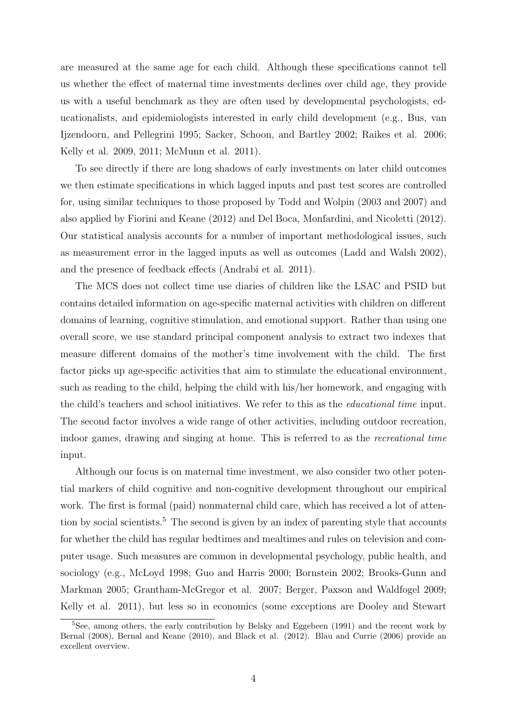are measured at the same age for each child. Although these specifications cannot tell us whether the effect of maternal time investments declines over child age, they provide us with a useful benchmark as they are often used by developmental psychologists, educationalists, and epidemiologists interested in early child development (e.g., Bus, van Ijzendoorn, and Pellegrini 1995; Sacker, Schoon, and Bartley 2002; Raikes et al. 2006; Kelly et al. 2009, 2011; McMunn et al. 2011).

To see directly if there are long shadows of early investments on later child outcomes we then estimate specifications in which lagged inputs and past test scores are controlled for, using similar techniques to those proposed by Todd and Wolpin (2003 and 2007) and also applied by Fiorini and Keane (2012) and Del Boca, Monfardini, and Nicoletti (2012). Our statistical analysis accounts for a number of important methodological issues, such as measurement error in the lagged inputs as well as outcomes (Ladd and Walsh 2002), and the presence of feedback effects (Andrabi et al. 2011).

The MCS does not collect time use diaries of children like the LSAC and PSID but contains detailed information on age-specific maternal activities with children on different domains of learning, cognitive stimulation, and emotional support. Rather than using one overall score, we use standard principal component analysis to extract two indexes that measure different domains of the mother's time involvement with the child. The first factor picks up age-specific activities that aim to stimulate the educational environment, such as reading to the child, helping the child with his/her homework, and engaging with the child's teachers and school initiatives. We refer to this as the educational time input. The second factor involves a wide range of other activities, including outdoor recreation, indoor games, drawing and singing at home. This is referred to as the recreational time input.

Although our focus is on maternal time investment, we also consider two other potential markers of child cognitive and non-cognitive development throughout our empirical work. The first is formal (paid) nonmaternal child care, which has received a lot of attention by social scientists.<sup>5</sup> The second is given by an index of parenting style that accounts for whether the child has regular bedtimes and mealtimes and rules on television and computer usage. Such measures are common in developmental psychology, public health, and sociology (e.g., McLoyd 1998; Guo and Harris 2000; Bornstein 2002; Brooks-Gunn and Markman 2005; Grantham-McGregor et al. 2007; Berger, Paxson and Waldfogel 2009; Kelly et al. 2011), but less so in economics (some exceptions are Dooley and Stewart

<sup>5</sup>See, among others, the early contribution by Belsky and Eggebeen (1991) and the recent work by Bernal (2008), Bernal and Keane (2010), and Black et al. (2012). Blau and Currie (2006) provide an excellent overview.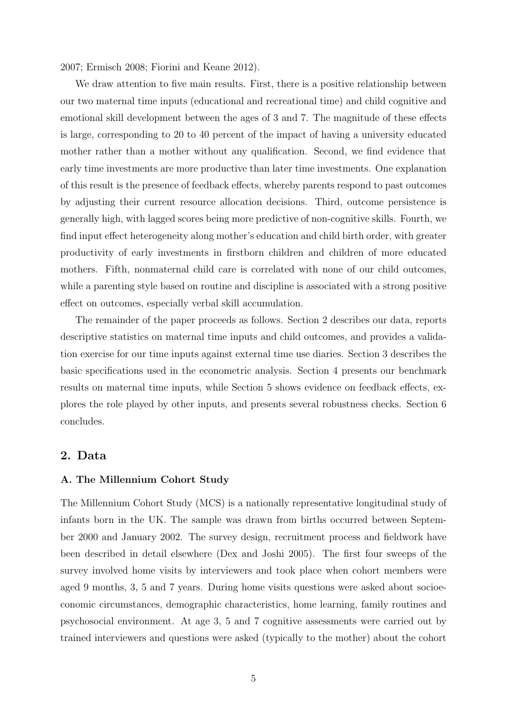2007; Ermisch 2008; Fiorini and Keane 2012).

We draw attention to five main results. First, there is a positive relationship between our two maternal time inputs (educational and recreational time) and child cognitive and emotional skill development between the ages of 3 and 7. The magnitude of these effects is large, corresponding to 20 to 40 percent of the impact of having a university educated mother rather than a mother without any qualification. Second, we find evidence that early time investments are more productive than later time investments. One explanation of this result is the presence of feedback effects, whereby parents respond to past outcomes by adjusting their current resource allocation decisions. Third, outcome persistence is generally high, with lagged scores being more predictive of non-cognitive skills. Fourth, we find input effect heterogeneity along mother's education and child birth order, with greater productivity of early investments in firstborn children and children of more educated mothers. Fifth, nonmaternal child care is correlated with none of our child outcomes, while a parenting style based on routine and discipline is associated with a strong positive effect on outcomes, especially verbal skill accumulation.

The remainder of the paper proceeds as follows. Section 2 describes our data, reports descriptive statistics on maternal time inputs and child outcomes, and provides a validation exercise for our time inputs against external time use diaries. Section 3 describes the basic specifications used in the econometric analysis. Section 4 presents our benchmark results on maternal time inputs, while Section 5 shows evidence on feedback effects, explores the role played by other inputs, and presents several robustness checks. Section 6 concludes.

### 2. Data

#### A. The Millennium Cohort Study

The Millennium Cohort Study (MCS) is a nationally representative longitudinal study of infants born in the UK. The sample was drawn from births occurred between September 2000 and January 2002. The survey design, recruitment process and fieldwork have been described in detail elsewhere (Dex and Joshi 2005). The first four sweeps of the survey involved home visits by interviewers and took place when cohort members were aged 9 months, 3, 5 and 7 years. During home visits questions were asked about socioeconomic circumstances, demographic characteristics, home learning, family routines and psychosocial environment. At age 3, 5 and 7 cognitive assessments were carried out by trained interviewers and questions were asked (typically to the mother) about the cohort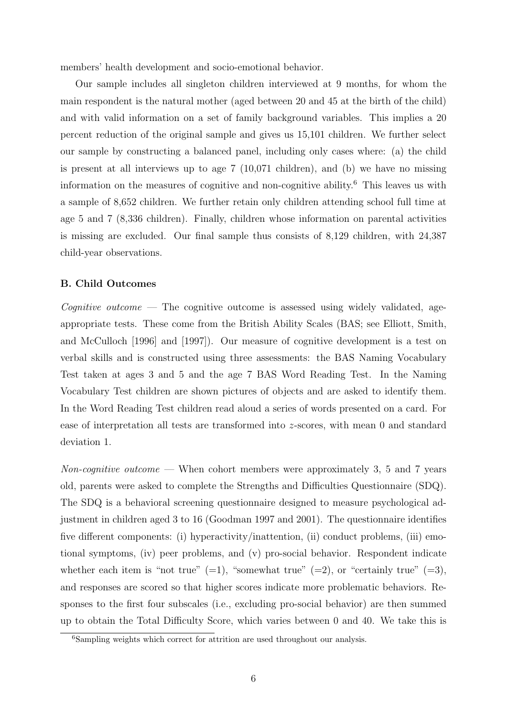members' health development and socio-emotional behavior.

Our sample includes all singleton children interviewed at 9 months, for whom the main respondent is the natural mother (aged between 20 and 45 at the birth of the child) and with valid information on a set of family background variables. This implies a 20 percent reduction of the original sample and gives us 15,101 children. We further select our sample by constructing a balanced panel, including only cases where: (a) the child is present at all interviews up to age 7 (10,071 children), and (b) we have no missing information on the measures of cognitive and non-cognitive ability.<sup>6</sup> This leaves us with a sample of 8,652 children. We further retain only children attending school full time at age 5 and 7 (8,336 children). Finally, children whose information on parental activities is missing are excluded. Our final sample thus consists of 8,129 children, with 24,387 child-year observations.

#### B. Child Outcomes

 ${{\cal C}o}$  *cognitive outcome* — The cognitive outcome is assessed using widely validated, ageappropriate tests. These come from the British Ability Scales (BAS; see Elliott, Smith, and McCulloch [1996] and [1997]). Our measure of cognitive development is a test on verbal skills and is constructed using three assessments: the BAS Naming Vocabulary Test taken at ages 3 and 5 and the age 7 BAS Word Reading Test. In the Naming Vocabulary Test children are shown pictures of objects and are asked to identify them. In the Word Reading Test children read aloud a series of words presented on a card. For ease of interpretation all tests are transformed into z-scores, with mean 0 and standard deviation 1.

Non-cognitive outcome — When cohort members were approximately 3, 5 and 7 years old, parents were asked to complete the Strengths and Difficulties Questionnaire (SDQ). The SDQ is a behavioral screening questionnaire designed to measure psychological adjustment in children aged 3 to 16 (Goodman 1997 and 2001). The questionnaire identifies five different components: (i) hyperactivity/inattention, (ii) conduct problems, (iii) emotional symptoms, (iv) peer problems, and (v) pro-social behavior. Respondent indicate whether each item is "not true"  $(=1)$ , "somewhat true"  $(=2)$ , or "certainly true"  $(=3)$ , and responses are scored so that higher scores indicate more problematic behaviors. Responses to the first four subscales (i.e., excluding pro-social behavior) are then summed up to obtain the Total Difficulty Score, which varies between 0 and 40. We take this is

<sup>&</sup>lt;sup>6</sup>Sampling weights which correct for attrition are used throughout our analysis.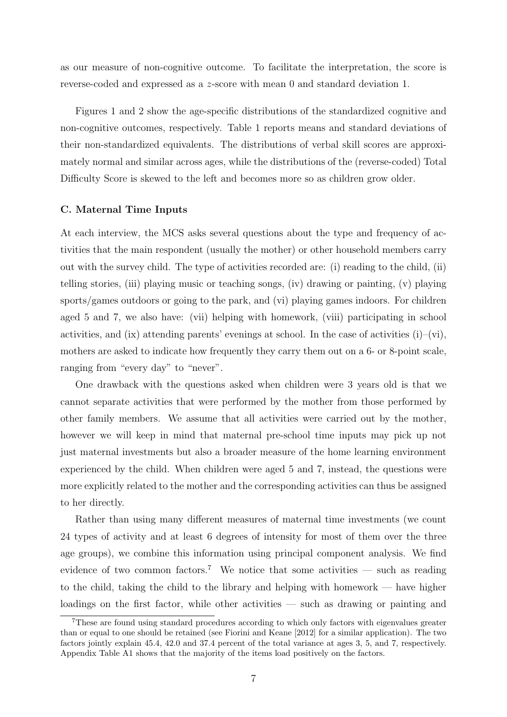as our measure of non-cognitive outcome. To facilitate the interpretation, the score is reverse-coded and expressed as a z-score with mean 0 and standard deviation 1.

Figures 1 and 2 show the age-specific distributions of the standardized cognitive and non-cognitive outcomes, respectively. Table 1 reports means and standard deviations of their non-standardized equivalents. The distributions of verbal skill scores are approximately normal and similar across ages, while the distributions of the (reverse-coded) Total Difficulty Score is skewed to the left and becomes more so as children grow older.

#### C. Maternal Time Inputs

At each interview, the MCS asks several questions about the type and frequency of activities that the main respondent (usually the mother) or other household members carry out with the survey child. The type of activities recorded are: (i) reading to the child, (ii) telling stories, (iii) playing music or teaching songs, (iv) drawing or painting, (v) playing sports/games outdoors or going to the park, and (vi) playing games indoors. For children aged 5 and 7, we also have: (vii) helping with homework, (viii) participating in school activities, and (ix) attending parents' evenings at school. In the case of activities  $(i)$ – $(vi)$ , mothers are asked to indicate how frequently they carry them out on a 6- or 8-point scale, ranging from "every day" to "never".

One drawback with the questions asked when children were 3 years old is that we cannot separate activities that were performed by the mother from those performed by other family members. We assume that all activities were carried out by the mother, however we will keep in mind that maternal pre-school time inputs may pick up not just maternal investments but also a broader measure of the home learning environment experienced by the child. When children were aged 5 and 7, instead, the questions were more explicitly related to the mother and the corresponding activities can thus be assigned to her directly.

Rather than using many different measures of maternal time investments (we count 24 types of activity and at least 6 degrees of intensity for most of them over the three age groups), we combine this information using principal component analysis. We find evidence of two common factors.<sup>7</sup> We notice that some activities — such as reading to the child, taking the child to the library and helping with homework — have higher loadings on the first factor, while other activities — such as drawing or painting and

<sup>7</sup>These are found using standard procedures according to which only factors with eigenvalues greater than or equal to one should be retained (see Fiorini and Keane [2012] for a similar application). The two factors jointly explain 45.4, 42.0 and 37.4 percent of the total variance at ages 3, 5, and 7, respectively. Appendix Table A1 shows that the majority of the items load positively on the factors.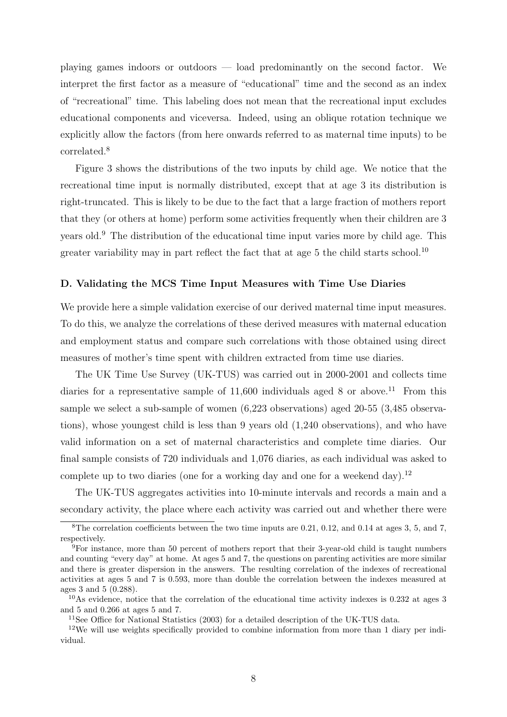playing games indoors or outdoors — load predominantly on the second factor. We interpret the first factor as a measure of "educational" time and the second as an index of "recreational" time. This labeling does not mean that the recreational input excludes educational components and viceversa. Indeed, using an oblique rotation technique we explicitly allow the factors (from here onwards referred to as maternal time inputs) to be correlated.<sup>8</sup>

Figure 3 shows the distributions of the two inputs by child age. We notice that the recreational time input is normally distributed, except that at age 3 its distribution is right-truncated. This is likely to be due to the fact that a large fraction of mothers report that they (or others at home) perform some activities frequently when their children are 3 years old.<sup>9</sup> The distribution of the educational time input varies more by child age. This greater variability may in part reflect the fact that at age  $5$  the child starts school.<sup>10</sup>

#### D. Validating the MCS Time Input Measures with Time Use Diaries

We provide here a simple validation exercise of our derived maternal time input measures. To do this, we analyze the correlations of these derived measures with maternal education and employment status and compare such correlations with those obtained using direct measures of mother's time spent with children extracted from time use diaries.

The UK Time Use Survey (UK-TUS) was carried out in 2000-2001 and collects time diaries for a representative sample of  $11,600$  individuals aged 8 or above.<sup>11</sup> From this sample we select a sub-sample of women (6,223 observations) aged 20-55 (3,485 observations), whose youngest child is less than 9 years old (1,240 observations), and who have valid information on a set of maternal characteristics and complete time diaries. Our final sample consists of 720 individuals and 1,076 diaries, as each individual was asked to complete up to two diaries (one for a working day and one for a weekend day).<sup>12</sup>

The UK-TUS aggregates activities into 10-minute intervals and records a main and a secondary activity, the place where each activity was carried out and whether there were

<sup>8</sup>The correlation coefficients between the two time inputs are 0.21, 0.12, and 0.14 at ages 3, 5, and 7, respectively.

<sup>9</sup>For instance, more than 50 percent of mothers report that their 3-year-old child is taught numbers and counting "every day" at home. At ages 5 and 7, the questions on parenting activities are more similar and there is greater dispersion in the answers. The resulting correlation of the indexes of recreational activities at ages 5 and 7 is 0.593, more than double the correlation between the indexes measured at ages 3 and 5 (0.288).

 $10$ As evidence, notice that the correlation of the educational time activity indexes is 0.232 at ages 3 and 5 and 0.266 at ages 5 and 7.

<sup>11</sup>See Office for National Statistics (2003) for a detailed description of the UK-TUS data.

<sup>12</sup>We will use weights specifically provided to combine information from more than 1 diary per individual.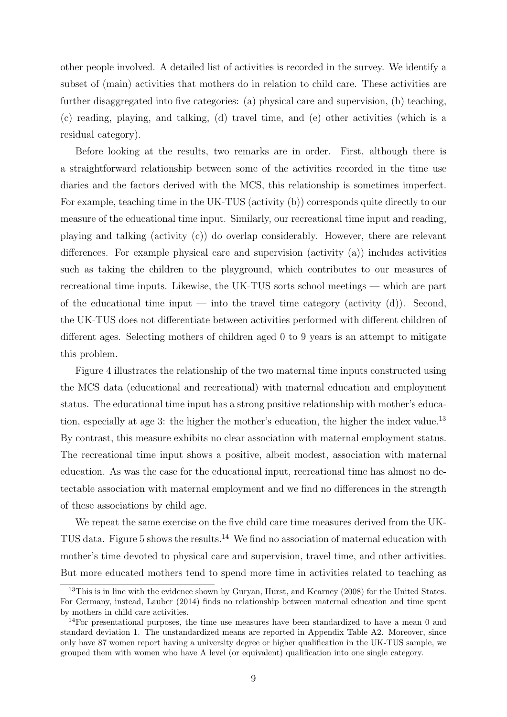other people involved. A detailed list of activities is recorded in the survey. We identify a subset of (main) activities that mothers do in relation to child care. These activities are further disaggregated into five categories: (a) physical care and supervision, (b) teaching, (c) reading, playing, and talking, (d) travel time, and (e) other activities (which is a residual category).

Before looking at the results, two remarks are in order. First, although there is a straightforward relationship between some of the activities recorded in the time use diaries and the factors derived with the MCS, this relationship is sometimes imperfect. For example, teaching time in the UK-TUS (activity (b)) corresponds quite directly to our measure of the educational time input. Similarly, our recreational time input and reading, playing and talking (activity (c)) do overlap considerably. However, there are relevant differences. For example physical care and supervision (activity (a)) includes activities such as taking the children to the playground, which contributes to our measures of recreational time inputs. Likewise, the UK-TUS sorts school meetings — which are part of the educational time input — into the travel time category (activity  $(d)$ ). Second, the UK-TUS does not differentiate between activities performed with different children of different ages. Selecting mothers of children aged 0 to 9 years is an attempt to mitigate this problem.

Figure 4 illustrates the relationship of the two maternal time inputs constructed using the MCS data (educational and recreational) with maternal education and employment status. The educational time input has a strong positive relationship with mother's education, especially at age 3: the higher the mother's education, the higher the index value.<sup>13</sup> By contrast, this measure exhibits no clear association with maternal employment status. The recreational time input shows a positive, albeit modest, association with maternal education. As was the case for the educational input, recreational time has almost no detectable association with maternal employment and we find no differences in the strength of these associations by child age.

We repeat the same exercise on the five child care time measures derived from the UK-TUS data. Figure 5 shows the results.<sup>14</sup> We find no association of maternal education with mother's time devoted to physical care and supervision, travel time, and other activities. But more educated mothers tend to spend more time in activities related to teaching as

<sup>&</sup>lt;sup>13</sup>This is in line with the evidence shown by Guryan, Hurst, and Kearney (2008) for the United States. For Germany, instead, Lauber (2014) finds no relationship between maternal education and time spent by mothers in child care activities.

<sup>&</sup>lt;sup>14</sup>For presentational purposes, the time use measures have been standardized to have a mean 0 and standard deviation 1. The unstandardized means are reported in Appendix Table A2. Moreover, since only have 87 women report having a university degree or higher qualification in the UK-TUS sample, we grouped them with women who have A level (or equivalent) qualification into one single category.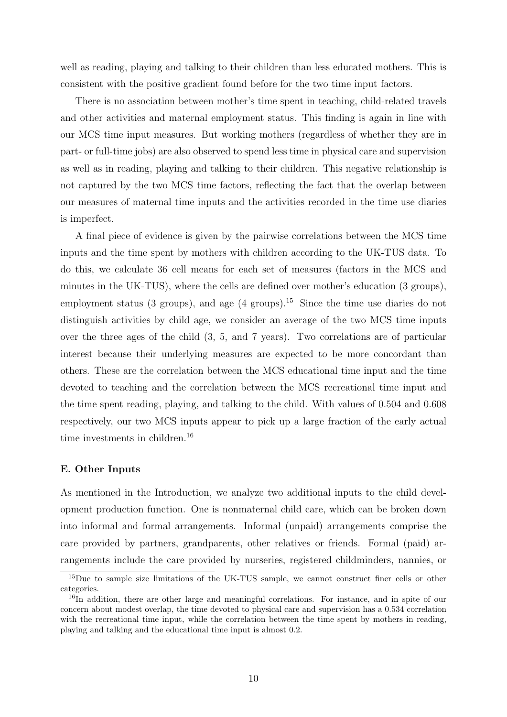well as reading, playing and talking to their children than less educated mothers. This is consistent with the positive gradient found before for the two time input factors.

There is no association between mother's time spent in teaching, child-related travels and other activities and maternal employment status. This finding is again in line with our MCS time input measures. But working mothers (regardless of whether they are in part- or full-time jobs) are also observed to spend less time in physical care and supervision as well as in reading, playing and talking to their children. This negative relationship is not captured by the two MCS time factors, reflecting the fact that the overlap between our measures of maternal time inputs and the activities recorded in the time use diaries is imperfect.

A final piece of evidence is given by the pairwise correlations between the MCS time inputs and the time spent by mothers with children according to the UK-TUS data. To do this, we calculate 36 cell means for each set of measures (factors in the MCS and minutes in the UK-TUS), where the cells are defined over mother's education (3 groups), employment status (3 groups), and age (4 groups).<sup>15</sup> Since the time use diaries do not distinguish activities by child age, we consider an average of the two MCS time inputs over the three ages of the child (3, 5, and 7 years). Two correlations are of particular interest because their underlying measures are expected to be more concordant than others. These are the correlation between the MCS educational time input and the time devoted to teaching and the correlation between the MCS recreational time input and the time spent reading, playing, and talking to the child. With values of 0.504 and 0.608 respectively, our two MCS inputs appear to pick up a large fraction of the early actual time investments in children.<sup>16</sup>

#### E. Other Inputs

As mentioned in the Introduction, we analyze two additional inputs to the child development production function. One is nonmaternal child care, which can be broken down into informal and formal arrangements. Informal (unpaid) arrangements comprise the care provided by partners, grandparents, other relatives or friends. Formal (paid) arrangements include the care provided by nurseries, registered childminders, nannies, or

<sup>&</sup>lt;sup>15</sup>Due to sample size limitations of the UK-TUS sample, we cannot construct finer cells or other categories.

<sup>&</sup>lt;sup>16</sup>In addition, there are other large and meaningful correlations. For instance, and in spite of our concern about modest overlap, the time devoted to physical care and supervision has a 0.534 correlation with the recreational time input, while the correlation between the time spent by mothers in reading, playing and talking and the educational time input is almost 0.2.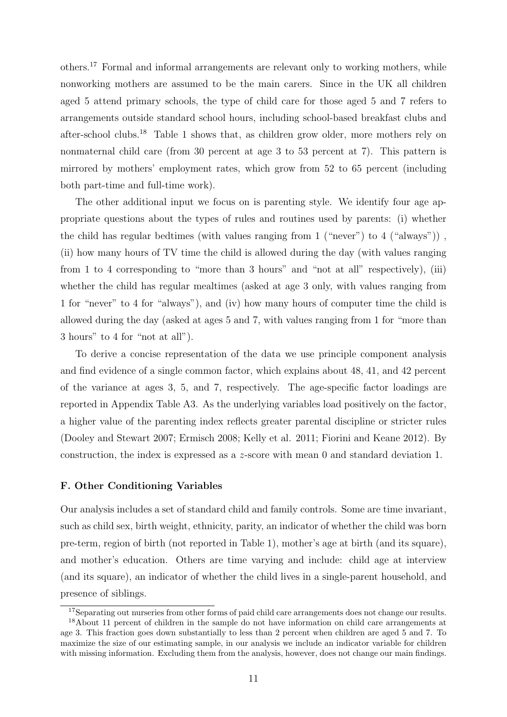others.<sup>17</sup> Formal and informal arrangements are relevant only to working mothers, while nonworking mothers are assumed to be the main carers. Since in the UK all children aged 5 attend primary schools, the type of child care for those aged 5 and 7 refers to arrangements outside standard school hours, including school-based breakfast clubs and after-school clubs.<sup>18</sup> Table 1 shows that, as children grow older, more mothers rely on nonmaternal child care (from 30 percent at age 3 to 53 percent at 7). This pattern is mirrored by mothers' employment rates, which grow from 52 to 65 percent (including both part-time and full-time work).

The other additional input we focus on is parenting style. We identify four age appropriate questions about the types of rules and routines used by parents: (i) whether the child has regular bedtimes (with values ranging from 1 ("never") to 4 ("always")) , (ii) how many hours of TV time the child is allowed during the day (with values ranging from 1 to 4 corresponding to "more than 3 hours" and "not at all" respectively), (iii) whether the child has regular mealtimes (asked at age 3 only, with values ranging from 1 for "never" to 4 for "always"), and (iv) how many hours of computer time the child is allowed during the day (asked at ages 5 and 7, with values ranging from 1 for "more than 3 hours" to 4 for "not at all").

To derive a concise representation of the data we use principle component analysis and find evidence of a single common factor, which explains about 48, 41, and 42 percent of the variance at ages 3, 5, and 7, respectively. The age-specific factor loadings are reported in Appendix Table A3. As the underlying variables load positively on the factor, a higher value of the parenting index reflects greater parental discipline or stricter rules (Dooley and Stewart 2007; Ermisch 2008; Kelly et al. 2011; Fiorini and Keane 2012). By construction, the index is expressed as a z-score with mean 0 and standard deviation 1.

#### F. Other Conditioning Variables

Our analysis includes a set of standard child and family controls. Some are time invariant, such as child sex, birth weight, ethnicity, parity, an indicator of whether the child was born pre-term, region of birth (not reported in Table 1), mother's age at birth (and its square), and mother's education. Others are time varying and include: child age at interview (and its square), an indicator of whether the child lives in a single-parent household, and presence of siblings.

<sup>&</sup>lt;sup>17</sup>Separating out nurseries from other forms of paid child care arrangements does not change our results.

<sup>18</sup>About 11 percent of children in the sample do not have information on child care arrangements at age 3. This fraction goes down substantially to less than 2 percent when children are aged 5 and 7. To maximize the size of our estimating sample, in our analysis we include an indicator variable for children with missing information. Excluding them from the analysis, however, does not change our main findings.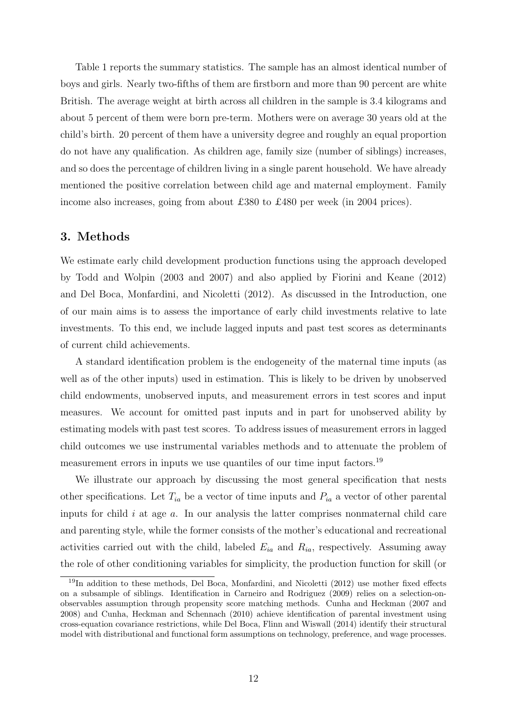Table 1 reports the summary statistics. The sample has an almost identical number of boys and girls. Nearly two-fifths of them are firstborn and more than 90 percent are white British. The average weight at birth across all children in the sample is 3.4 kilograms and about 5 percent of them were born pre-term. Mothers were on average 30 years old at the child's birth. 20 percent of them have a university degree and roughly an equal proportion do not have any qualification. As children age, family size (number of siblings) increases, and so does the percentage of children living in a single parent household. We have already mentioned the positive correlation between child age and maternal employment. Family income also increases, going from about £380 to £480 per week (in 2004 prices).

### 3. Methods

We estimate early child development production functions using the approach developed by Todd and Wolpin (2003 and 2007) and also applied by Fiorini and Keane (2012) and Del Boca, Monfardini, and Nicoletti (2012). As discussed in the Introduction, one of our main aims is to assess the importance of early child investments relative to late investments. To this end, we include lagged inputs and past test scores as determinants of current child achievements.

A standard identification problem is the endogeneity of the maternal time inputs (as well as of the other inputs) used in estimation. This is likely to be driven by unobserved child endowments, unobserved inputs, and measurement errors in test scores and input measures. We account for omitted past inputs and in part for unobserved ability by estimating models with past test scores. To address issues of measurement errors in lagged child outcomes we use instrumental variables methods and to attenuate the problem of measurement errors in inputs we use quantiles of our time input factors.<sup>19</sup>

We illustrate our approach by discussing the most general specification that nests other specifications. Let  $T_{ia}$  be a vector of time inputs and  $P_{ia}$  a vector of other parental inputs for child  $i$  at age  $a$ . In our analysis the latter comprises nonmaternal child care and parenting style, while the former consists of the mother's educational and recreational activities carried out with the child, labeled  $E_{ia}$  and  $R_{ia}$ , respectively. Assuming away the role of other conditioning variables for simplicity, the production function for skill (or

<sup>&</sup>lt;sup>19</sup>In addition to these methods, Del Boca, Monfardini, and Nicoletti (2012) use mother fixed effects on a subsample of siblings. Identification in Carneiro and Rodriguez (2009) relies on a selection-onobservables assumption through propensity score matching methods. Cunha and Heckman (2007 and 2008) and Cunha, Heckman and Schennach (2010) achieve identification of parental investment using cross-equation covariance restrictions, while Del Boca, Flinn and Wiswall (2014) identify their structural model with distributional and functional form assumptions on technology, preference, and wage processes.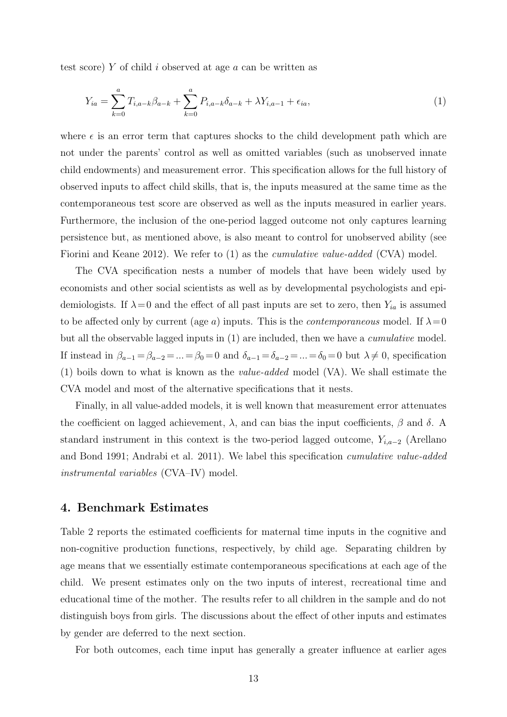test score) Y of child i observed at age a can be written as

$$
Y_{ia} = \sum_{k=0}^{a} T_{i,a-k} \beta_{a-k} + \sum_{k=0}^{a} P_{i,a-k} \delta_{a-k} + \lambda Y_{i,a-1} + \epsilon_{ia}, \tag{1}
$$

where  $\epsilon$  is an error term that captures shocks to the child development path which are not under the parents' control as well as omitted variables (such as unobserved innate child endowments) and measurement error. This specification allows for the full history of observed inputs to affect child skills, that is, the inputs measured at the same time as the contemporaneous test score are observed as well as the inputs measured in earlier years. Furthermore, the inclusion of the one-period lagged outcome not only captures learning persistence but, as mentioned above, is also meant to control for unobserved ability (see Fiorini and Keane 2012). We refer to (1) as the *cumulative value-added* (CVA) model.

The CVA specification nests a number of models that have been widely used by economists and other social scientists as well as by developmental psychologists and epidemiologists. If  $\lambda = 0$  and the effect of all past inputs are set to zero, then  $Y_{ia}$  is assumed to be affected only by current (age a) inputs. This is the *contemporaneous* model. If  $\lambda=0$ but all the observable lagged inputs in (1) are included, then we have a cumulative model. If instead in  $\beta_{a-1} = \beta_{a-2} = ... = \beta_0 = 0$  and  $\delta_{a-1} = \delta_{a-2} = ... = \delta_0 = 0$  but  $\lambda \neq 0$ , specification (1) boils down to what is known as the value-added model (VA). We shall estimate the CVA model and most of the alternative specifications that it nests.

Finally, in all value-added models, it is well known that measurement error attenuates the coefficient on lagged achievement,  $\lambda$ , and can bias the input coefficients,  $\beta$  and  $\delta$ . A standard instrument in this context is the two-period lagged outcome,  $Y_{i,a-2}$  (Arellano and Bond 1991; Andrabi et al. 2011). We label this specification cumulative value-added instrumental variables (CVA–IV) model.

### 4. Benchmark Estimates

Table 2 reports the estimated coefficients for maternal time inputs in the cognitive and non-cognitive production functions, respectively, by child age. Separating children by age means that we essentially estimate contemporaneous specifications at each age of the child. We present estimates only on the two inputs of interest, recreational time and educational time of the mother. The results refer to all children in the sample and do not distinguish boys from girls. The discussions about the effect of other inputs and estimates by gender are deferred to the next section.

For both outcomes, each time input has generally a greater influence at earlier ages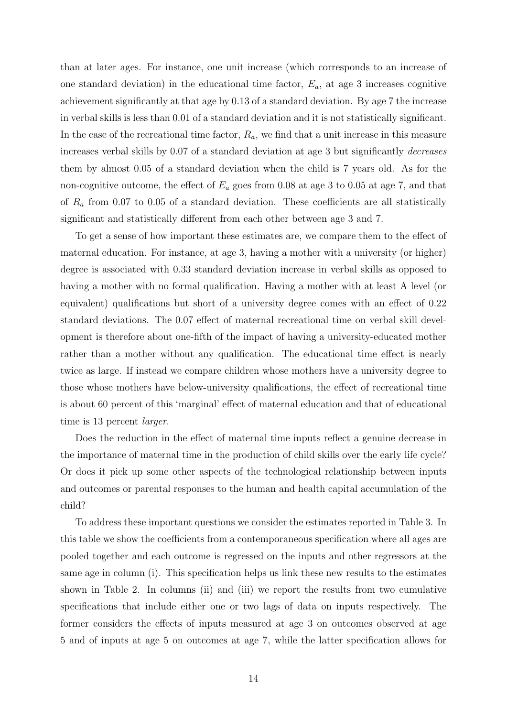than at later ages. For instance, one unit increase (which corresponds to an increase of one standard deviation) in the educational time factor,  $E_a$ , at age 3 increases cognitive achievement significantly at that age by 0.13 of a standard deviation. By age 7 the increase in verbal skills is less than 0.01 of a standard deviation and it is not statistically significant. In the case of the recreational time factor,  $R_a$ , we find that a unit increase in this measure increases verbal skills by 0.07 of a standard deviation at age 3 but significantly decreases them by almost 0.05 of a standard deviation when the child is 7 years old. As for the non-cognitive outcome, the effect of  $E_a$  goes from 0.08 at age 3 to 0.05 at age 7, and that of  $R_a$  from 0.07 to 0.05 of a standard deviation. These coefficients are all statistically significant and statistically different from each other between age 3 and 7.

To get a sense of how important these estimates are, we compare them to the effect of maternal education. For instance, at age 3, having a mother with a university (or higher) degree is associated with 0.33 standard deviation increase in verbal skills as opposed to having a mother with no formal qualification. Having a mother with at least A level (or equivalent) qualifications but short of a university degree comes with an effect of 0.22 standard deviations. The 0.07 effect of maternal recreational time on verbal skill development is therefore about one-fifth of the impact of having a university-educated mother rather than a mother without any qualification. The educational time effect is nearly twice as large. If instead we compare children whose mothers have a university degree to those whose mothers have below-university qualifications, the effect of recreational time is about 60 percent of this 'marginal' effect of maternal education and that of educational time is 13 percent *larger*.

Does the reduction in the effect of maternal time inputs reflect a genuine decrease in the importance of maternal time in the production of child skills over the early life cycle? Or does it pick up some other aspects of the technological relationship between inputs and outcomes or parental responses to the human and health capital accumulation of the child?

To address these important questions we consider the estimates reported in Table 3. In this table we show the coefficients from a contemporaneous specification where all ages are pooled together and each outcome is regressed on the inputs and other regressors at the same age in column (i). This specification helps us link these new results to the estimates shown in Table 2. In columns (ii) and (iii) we report the results from two cumulative specifications that include either one or two lags of data on inputs respectively. The former considers the effects of inputs measured at age 3 on outcomes observed at age 5 and of inputs at age 5 on outcomes at age 7, while the latter specification allows for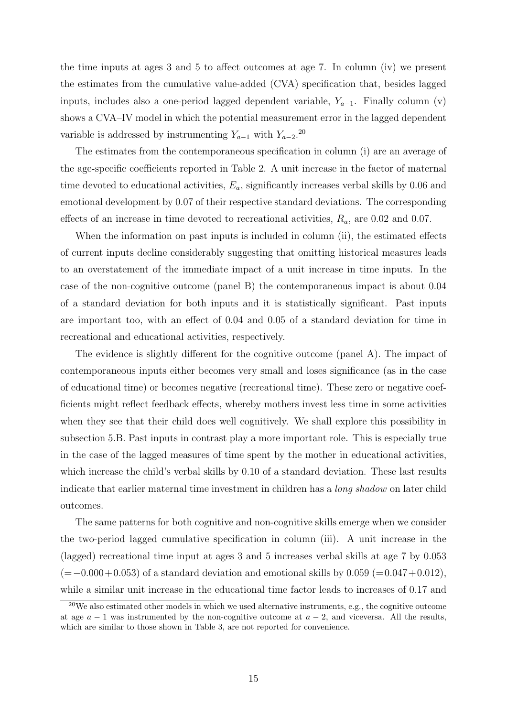the time inputs at ages 3 and 5 to affect outcomes at age 7. In column (iv) we present the estimates from the cumulative value-added (CVA) specification that, besides lagged inputs, includes also a one-period lagged dependent variable,  $Y_{a-1}$ . Finally column (v) shows a CVA–IV model in which the potential measurement error in the lagged dependent variable is addressed by instrumenting  $Y_{a-1}$  with  $Y_{a-2}$ .<sup>20</sup>

The estimates from the contemporaneous specification in column (i) are an average of the age-specific coefficients reported in Table 2. A unit increase in the factor of maternal time devoted to educational activities,  $E_a$ , significantly increases verbal skills by 0.06 and emotional development by 0.07 of their respective standard deviations. The corresponding effects of an increase in time devoted to recreational activities,  $R_a$ , are 0.02 and 0.07.

When the information on past inputs is included in column (ii), the estimated effects of current inputs decline considerably suggesting that omitting historical measures leads to an overstatement of the immediate impact of a unit increase in time inputs. In the case of the non-cognitive outcome (panel B) the contemporaneous impact is about 0.04 of a standard deviation for both inputs and it is statistically significant. Past inputs are important too, with an effect of 0.04 and 0.05 of a standard deviation for time in recreational and educational activities, respectively.

The evidence is slightly different for the cognitive outcome (panel A). The impact of contemporaneous inputs either becomes very small and loses significance (as in the case of educational time) or becomes negative (recreational time). These zero or negative coefficients might reflect feedback effects, whereby mothers invest less time in some activities when they see that their child does well cognitively. We shall explore this possibility in subsection 5.B. Past inputs in contrast play a more important role. This is especially true in the case of the lagged measures of time spent by the mother in educational activities, which increase the child's verbal skills by 0.10 of a standard deviation. These last results indicate that earlier maternal time investment in children has a long shadow on later child outcomes.

The same patterns for both cognitive and non-cognitive skills emerge when we consider the two-period lagged cumulative specification in column (iii). A unit increase in the (lagged) recreational time input at ages 3 and 5 increases verbal skills at age 7 by 0.053  $(=-0.000+0.053)$  of a standard deviation and emotional skills by  $0.059$  (=0.047+0.012), while a similar unit increase in the educational time factor leads to increases of 0.17 and

 $20$ We also estimated other models in which we used alternative instruments, e.g., the cognitive outcome at age  $a - 1$  was instrumented by the non-cognitive outcome at  $a - 2$ , and viceversa. All the results, which are similar to those shown in Table 3, are not reported for convenience.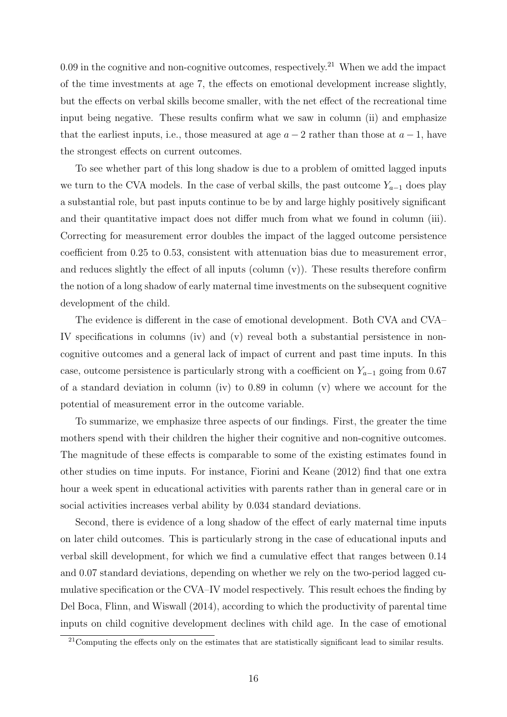0.09 in the cognitive and non-cognitive outcomes, respectively.<sup>21</sup> When we add the impact of the time investments at age 7, the effects on emotional development increase slightly, but the effects on verbal skills become smaller, with the net effect of the recreational time input being negative. These results confirm what we saw in column (ii) and emphasize that the earliest inputs, i.e., those measured at age  $a - 2$  rather than those at  $a - 1$ , have the strongest effects on current outcomes.

To see whether part of this long shadow is due to a problem of omitted lagged inputs we turn to the CVA models. In the case of verbal skills, the past outcome  $Y_{a-1}$  does play a substantial role, but past inputs continue to be by and large highly positively significant and their quantitative impact does not differ much from what we found in column (iii). Correcting for measurement error doubles the impact of the lagged outcome persistence coefficient from 0.25 to 0.53, consistent with attenuation bias due to measurement error, and reduces slightly the effect of all inputs (column  $(v)$ ). These results therefore confirm the notion of a long shadow of early maternal time investments on the subsequent cognitive development of the child.

The evidence is different in the case of emotional development. Both CVA and CVA– IV specifications in columns (iv) and (v) reveal both a substantial persistence in noncognitive outcomes and a general lack of impact of current and past time inputs. In this case, outcome persistence is particularly strong with a coefficient on  $Y_{a-1}$  going from 0.67 of a standard deviation in column (iv) to 0.89 in column (v) where we account for the potential of measurement error in the outcome variable.

To summarize, we emphasize three aspects of our findings. First, the greater the time mothers spend with their children the higher their cognitive and non-cognitive outcomes. The magnitude of these effects is comparable to some of the existing estimates found in other studies on time inputs. For instance, Fiorini and Keane (2012) find that one extra hour a week spent in educational activities with parents rather than in general care or in social activities increases verbal ability by 0.034 standard deviations.

Second, there is evidence of a long shadow of the effect of early maternal time inputs on later child outcomes. This is particularly strong in the case of educational inputs and verbal skill development, for which we find a cumulative effect that ranges between 0.14 and 0.07 standard deviations, depending on whether we rely on the two-period lagged cumulative specification or the CVA–IV model respectively. This result echoes the finding by Del Boca, Flinn, and Wiswall (2014), according to which the productivity of parental time inputs on child cognitive development declines with child age. In the case of emotional

 $21$ Computing the effects only on the estimates that are statistically significant lead to similar results.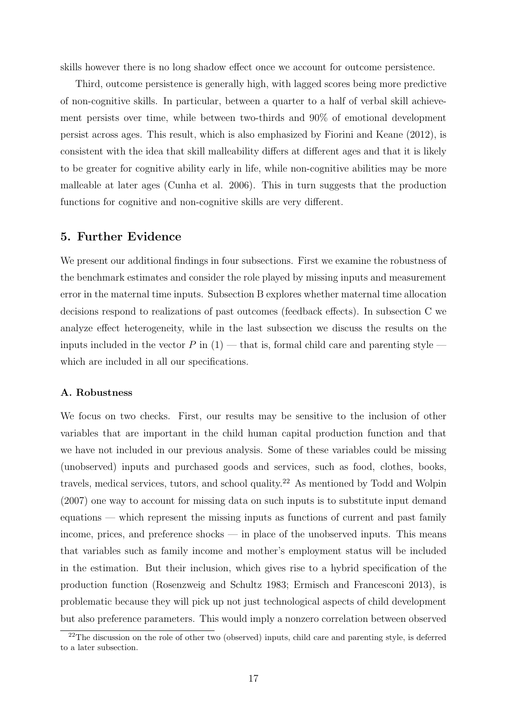skills however there is no long shadow effect once we account for outcome persistence.

Third, outcome persistence is generally high, with lagged scores being more predictive of non-cognitive skills. In particular, between a quarter to a half of verbal skill achievement persists over time, while between two-thirds and 90% of emotional development persist across ages. This result, which is also emphasized by Fiorini and Keane (2012), is consistent with the idea that skill malleability differs at different ages and that it is likely to be greater for cognitive ability early in life, while non-cognitive abilities may be more malleable at later ages (Cunha et al. 2006). This in turn suggests that the production functions for cognitive and non-cognitive skills are very different.

### 5. Further Evidence

We present our additional findings in four subsections. First we examine the robustness of the benchmark estimates and consider the role played by missing inputs and measurement error in the maternal time inputs. Subsection B explores whether maternal time allocation decisions respond to realizations of past outcomes (feedback effects). In subsection C we analyze effect heterogeneity, while in the last subsection we discuss the results on the inputs included in the vector P in  $(1)$  — that is, formal child care and parenting style which are included in all our specifications.

#### A. Robustness

We focus on two checks. First, our results may be sensitive to the inclusion of other variables that are important in the child human capital production function and that we have not included in our previous analysis. Some of these variables could be missing (unobserved) inputs and purchased goods and services, such as food, clothes, books, travels, medical services, tutors, and school quality.<sup>22</sup> As mentioned by Todd and Wolpin (2007) one way to account for missing data on such inputs is to substitute input demand equations — which represent the missing inputs as functions of current and past family income, prices, and preference shocks — in place of the unobserved inputs. This means that variables such as family income and mother's employment status will be included in the estimation. But their inclusion, which gives rise to a hybrid specification of the production function (Rosenzweig and Schultz 1983; Ermisch and Francesconi 2013), is problematic because they will pick up not just technological aspects of child development but also preference parameters. This would imply a nonzero correlation between observed

<sup>&</sup>lt;sup>22</sup>The discussion on the role of other two (observed) inputs, child care and parenting style, is deferred to a later subsection.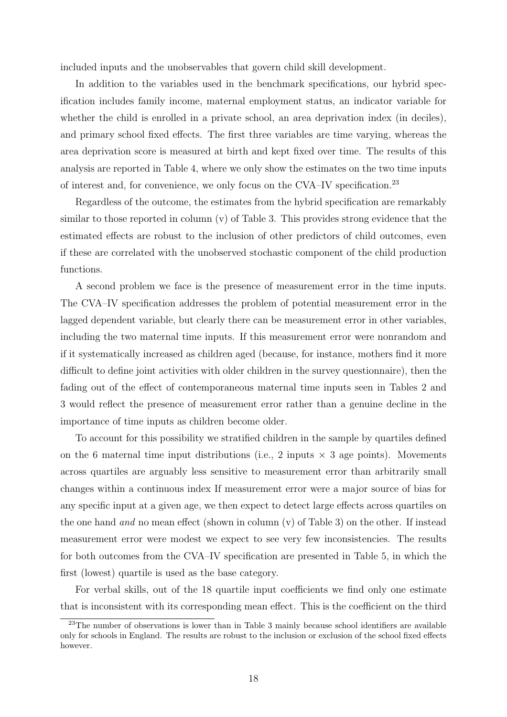included inputs and the unobservables that govern child skill development.

In addition to the variables used in the benchmark specifications, our hybrid specification includes family income, maternal employment status, an indicator variable for whether the child is enrolled in a private school, an area deprivation index (in deciles), and primary school fixed effects. The first three variables are time varying, whereas the area deprivation score is measured at birth and kept fixed over time. The results of this analysis are reported in Table 4, where we only show the estimates on the two time inputs of interest and, for convenience, we only focus on the CVA–IV specification.<sup>23</sup>

Regardless of the outcome, the estimates from the hybrid specification are remarkably similar to those reported in column (v) of Table 3. This provides strong evidence that the estimated effects are robust to the inclusion of other predictors of child outcomes, even if these are correlated with the unobserved stochastic component of the child production functions.

A second problem we face is the presence of measurement error in the time inputs. The CVA–IV specification addresses the problem of potential measurement error in the lagged dependent variable, but clearly there can be measurement error in other variables, including the two maternal time inputs. If this measurement error were nonrandom and if it systematically increased as children aged (because, for instance, mothers find it more difficult to define joint activities with older children in the survey questionnaire), then the fading out of the effect of contemporaneous maternal time inputs seen in Tables 2 and 3 would reflect the presence of measurement error rather than a genuine decline in the importance of time inputs as children become older.

To account for this possibility we stratified children in the sample by quartiles defined on the 6 maternal time input distributions (i.e., 2 inputs  $\times$  3 age points). Movements across quartiles are arguably less sensitive to measurement error than arbitrarily small changes within a continuous index If measurement error were a major source of bias for any specific input at a given age, we then expect to detect large effects across quartiles on the one hand and no mean effect (shown in column  $(v)$  of Table 3) on the other. If instead measurement error were modest we expect to see very few inconsistencies. The results for both outcomes from the CVA–IV specification are presented in Table 5, in which the first (lowest) quartile is used as the base category.

For verbal skills, out of the 18 quartile input coefficients we find only one estimate that is inconsistent with its corresponding mean effect. This is the coefficient on the third

<sup>&</sup>lt;sup>23</sup>The number of observations is lower than in Table 3 mainly because school identifiers are available only for schools in England. The results are robust to the inclusion or exclusion of the school fixed effects however.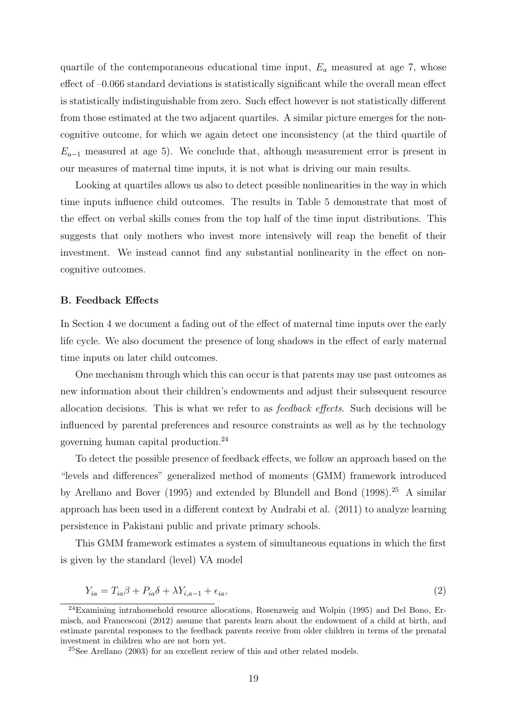quartile of the contemporaneous educational time input,  $E_a$  measured at age 7, whose effect of –0.066 standard deviations is statistically significant while the overall mean effect is statistically indistinguishable from zero. Such effect however is not statistically different from those estimated at the two adjacent quartiles. A similar picture emerges for the noncognitive outcome, for which we again detect one inconsistency (at the third quartile of  $E_{a-1}$  measured at age 5). We conclude that, although measurement error is present in our measures of maternal time inputs, it is not what is driving our main results.

Looking at quartiles allows us also to detect possible nonlinearities in the way in which time inputs influence child outcomes. The results in Table 5 demonstrate that most of the effect on verbal skills comes from the top half of the time input distributions. This suggests that only mothers who invest more intensively will reap the benefit of their investment. We instead cannot find any substantial nonlinearity in the effect on noncognitive outcomes.

#### B. Feedback Effects

In Section 4 we document a fading out of the effect of maternal time inputs over the early life cycle. We also document the presence of long shadows in the effect of early maternal time inputs on later child outcomes.

One mechanism through which this can occur is that parents may use past outcomes as new information about their children's endowments and adjust their subsequent resource allocation decisions. This is what we refer to as feedback effects. Such decisions will be influenced by parental preferences and resource constraints as well as by the technology governing human capital production.<sup>24</sup>

To detect the possible presence of feedback effects, we follow an approach based on the "levels and differences" generalized method of moments (GMM) framework introduced by Arellano and Bover (1995) and extended by Blundell and Bond (1998).<sup>25</sup> A similar approach has been used in a different context by Andrabi et al. (2011) to analyze learning persistence in Pakistani public and private primary schools.

This GMM framework estimates a system of simultaneous equations in which the first is given by the standard (level) VA model

$$
Y_{ia} = T_{ia}\beta + P_{ia}\delta + \lambda Y_{i,a-1} + \epsilon_{ia},\tag{2}
$$

<sup>24</sup>Examining intrahousehold resource allocations, Rosenzweig and Wolpin (1995) and Del Bono, Ermisch, and Francesconi (2012) assume that parents learn about the endowment of a child at birth, and estimate parental responses to the feedback parents receive from older children in terms of the prenatal investment in children who are not born yet.

<sup>25</sup>See Arellano (2003) for an excellent review of this and other related models.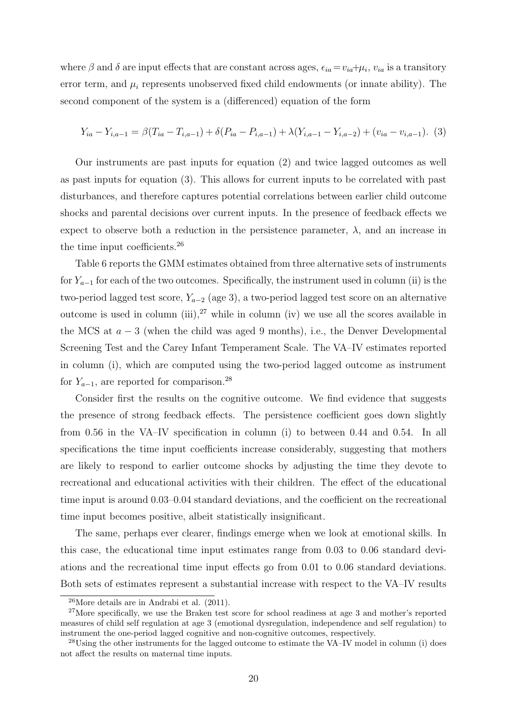where  $\beta$  and  $\delta$  are input effects that are constant across ages,  $\epsilon_{ia} = v_{ia} + \mu_i$ ,  $v_{ia}$  is a transitory error term, and  $\mu_i$  represents unobserved fixed child endowments (or innate ability). The second component of the system is a (differenced) equation of the form

$$
Y_{ia} - Y_{i,a-1} = \beta (T_{ia} - T_{i,a-1}) + \delta (P_{ia} - P_{i,a-1}) + \lambda (Y_{i,a-1} - Y_{i,a-2}) + (v_{ia} - v_{i,a-1}).
$$
 (3)

Our instruments are past inputs for equation (2) and twice lagged outcomes as well as past inputs for equation (3). This allows for current inputs to be correlated with past disturbances, and therefore captures potential correlations between earlier child outcome shocks and parental decisions over current inputs. In the presence of feedback effects we expect to observe both a reduction in the persistence parameter,  $\lambda$ , and an increase in the time input coefficients.<sup>26</sup>

Table 6 reports the GMM estimates obtained from three alternative sets of instruments for  $Y_{a-1}$  for each of the two outcomes. Specifically, the instrument used in column (ii) is the two-period lagged test score,  $Y_{a-2}$  (age 3), a two-period lagged test score on an alternative outcome is used in column (iii),  $2^7$  while in column (iv) we use all the scores available in the MCS at  $a - 3$  (when the child was aged 9 months), i.e., the Denver Developmental Screening Test and the Carey Infant Temperament Scale. The VA–IV estimates reported in column (i), which are computed using the two-period lagged outcome as instrument for  $Y_{a-1}$ , are reported for comparison.<sup>28</sup>

Consider first the results on the cognitive outcome. We find evidence that suggests the presence of strong feedback effects. The persistence coefficient goes down slightly from 0.56 in the VA–IV specification in column (i) to between 0.44 and 0.54. In all specifications the time input coefficients increase considerably, suggesting that mothers are likely to respond to earlier outcome shocks by adjusting the time they devote to recreational and educational activities with their children. The effect of the educational time input is around 0.03–0.04 standard deviations, and the coefficient on the recreational time input becomes positive, albeit statistically insignificant.

The same, perhaps ever clearer, findings emerge when we look at emotional skills. In this case, the educational time input estimates range from 0.03 to 0.06 standard deviations and the recreational time input effects go from 0.01 to 0.06 standard deviations. Both sets of estimates represent a substantial increase with respect to the VA–IV results

 $26$ More details are in Andrabi et al.  $(2011)$ .

<sup>&</sup>lt;sup>27</sup>More specifically, we use the Braken test score for school readiness at age 3 and mother's reported measures of child self regulation at age 3 (emotional dysregulation, independence and self regulation) to instrument the one-period lagged cognitive and non-cognitive outcomes, respectively.

<sup>&</sup>lt;sup>28</sup>Using the other instruments for the lagged outcome to estimate the VA–IV model in column (i) does not affect the results on maternal time inputs.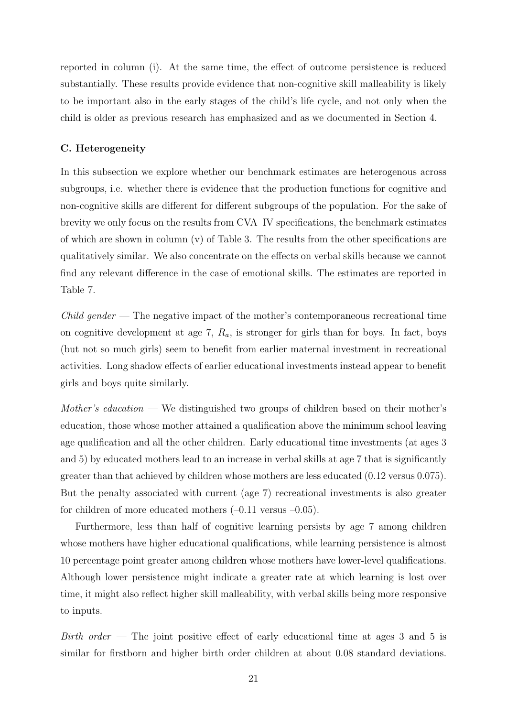reported in column (i). At the same time, the effect of outcome persistence is reduced substantially. These results provide evidence that non-cognitive skill malleability is likely to be important also in the early stages of the child's life cycle, and not only when the child is older as previous research has emphasized and as we documented in Section 4.

#### C. Heterogeneity

In this subsection we explore whether our benchmark estimates are heterogenous across subgroups, i.e. whether there is evidence that the production functions for cognitive and non-cognitive skills are different for different subgroups of the population. For the sake of brevity we only focus on the results from CVA–IV specifications, the benchmark estimates of which are shown in column  $(v)$  of Table 3. The results from the other specifications are qualitatively similar. We also concentrate on the effects on verbal skills because we cannot find any relevant difference in the case of emotional skills. The estimates are reported in Table 7.

 $Child\ gender$  — The negative impact of the mother's contemporaneous recreational time on cognitive development at age 7,  $R_a$ , is stronger for girls than for boys. In fact, boys (but not so much girls) seem to benefit from earlier maternal investment in recreational activities. Long shadow effects of earlier educational investments instead appear to benefit girls and boys quite similarly.

Mother's education — We distinguished two groups of children based on their mother's education, those whose mother attained a qualification above the minimum school leaving age qualification and all the other children. Early educational time investments (at ages 3 and 5) by educated mothers lead to an increase in verbal skills at age 7 that is significantly greater than that achieved by children whose mothers are less educated (0.12 versus 0.075). But the penalty associated with current (age 7) recreational investments is also greater for children of more educated mothers  $(-0.11 \text{ versus } -0.05)$ .

Furthermore, less than half of cognitive learning persists by age 7 among children whose mothers have higher educational qualifications, while learning persistence is almost 10 percentage point greater among children whose mothers have lower-level qualifications. Although lower persistence might indicate a greater rate at which learning is lost over time, it might also reflect higher skill malleability, with verbal skills being more responsive to inputs.

Birth order  $-$  The joint positive effect of early educational time at ages 3 and 5 is similar for firstborn and higher birth order children at about 0.08 standard deviations.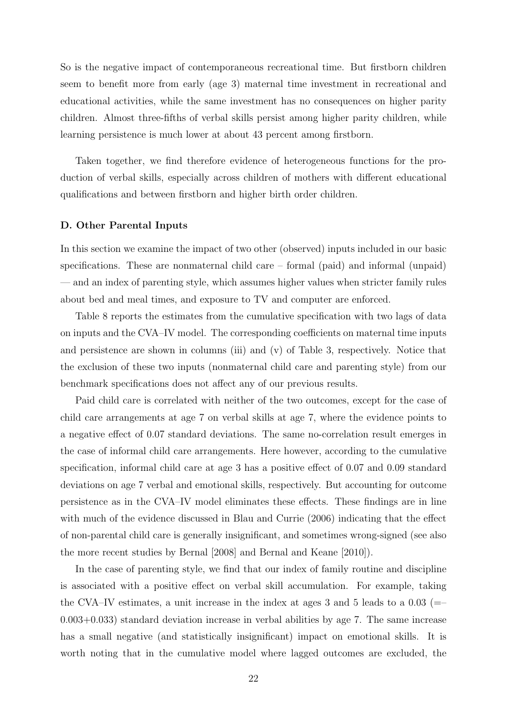So is the negative impact of contemporaneous recreational time. But firstborn children seem to benefit more from early (age 3) maternal time investment in recreational and educational activities, while the same investment has no consequences on higher parity children. Almost three-fifths of verbal skills persist among higher parity children, while learning persistence is much lower at about 43 percent among firstborn.

Taken together, we find therefore evidence of heterogeneous functions for the production of verbal skills, especially across children of mothers with different educational qualifications and between firstborn and higher birth order children.

#### D. Other Parental Inputs

In this section we examine the impact of two other (observed) inputs included in our basic specifications. These are nonmaternal child care – formal (paid) and informal (unpaid) — and an index of parenting style, which assumes higher values when stricter family rules about bed and meal times, and exposure to TV and computer are enforced.

Table 8 reports the estimates from the cumulative specification with two lags of data on inputs and the CVA–IV model. The corresponding coefficients on maternal time inputs and persistence are shown in columns (iii) and (v) of Table 3, respectively. Notice that the exclusion of these two inputs (nonmaternal child care and parenting style) from our benchmark specifications does not affect any of our previous results.

Paid child care is correlated with neither of the two outcomes, except for the case of child care arrangements at age 7 on verbal skills at age 7, where the evidence points to a negative effect of 0.07 standard deviations. The same no-correlation result emerges in the case of informal child care arrangements. Here however, according to the cumulative specification, informal child care at age 3 has a positive effect of 0.07 and 0.09 standard deviations on age 7 verbal and emotional skills, respectively. But accounting for outcome persistence as in the CVA–IV model eliminates these effects. These findings are in line with much of the evidence discussed in Blau and Currie (2006) indicating that the effect of non-parental child care is generally insignificant, and sometimes wrong-signed (see also the more recent studies by Bernal [2008] and Bernal and Keane [2010]).

In the case of parenting style, we find that our index of family routine and discipline is associated with a positive effect on verbal skill accumulation. For example, taking the CVA–IV estimates, a unit increase in the index at ages 3 and 5 leads to a  $0.03$  (= 0.003+0.033) standard deviation increase in verbal abilities by age 7. The same increase has a small negative (and statistically insignificant) impact on emotional skills. It is worth noting that in the cumulative model where lagged outcomes are excluded, the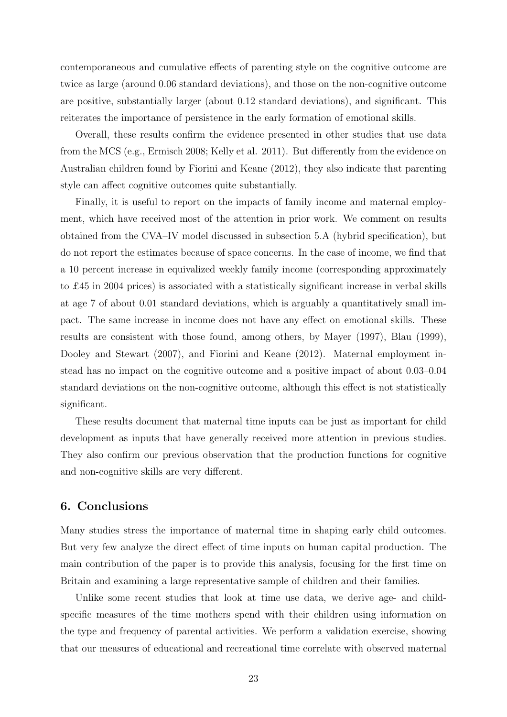contemporaneous and cumulative effects of parenting style on the cognitive outcome are twice as large (around 0.06 standard deviations), and those on the non-cognitive outcome are positive, substantially larger (about 0.12 standard deviations), and significant. This reiterates the importance of persistence in the early formation of emotional skills.

Overall, these results confirm the evidence presented in other studies that use data from the MCS (e.g., Ermisch 2008; Kelly et al. 2011). But differently from the evidence on Australian children found by Fiorini and Keane (2012), they also indicate that parenting style can affect cognitive outcomes quite substantially.

Finally, it is useful to report on the impacts of family income and maternal employment, which have received most of the attention in prior work. We comment on results obtained from the CVA–IV model discussed in subsection 5.A (hybrid specification), but do not report the estimates because of space concerns. In the case of income, we find that a 10 percent increase in equivalized weekly family income (corresponding approximately to £45 in 2004 prices) is associated with a statistically significant increase in verbal skills at age 7 of about 0.01 standard deviations, which is arguably a quantitatively small impact. The same increase in income does not have any effect on emotional skills. These results are consistent with those found, among others, by Mayer (1997), Blau (1999), Dooley and Stewart (2007), and Fiorini and Keane (2012). Maternal employment instead has no impact on the cognitive outcome and a positive impact of about 0.03–0.04 standard deviations on the non-cognitive outcome, although this effect is not statistically significant.

These results document that maternal time inputs can be just as important for child development as inputs that have generally received more attention in previous studies. They also confirm our previous observation that the production functions for cognitive and non-cognitive skills are very different.

### 6. Conclusions

Many studies stress the importance of maternal time in shaping early child outcomes. But very few analyze the direct effect of time inputs on human capital production. The main contribution of the paper is to provide this analysis, focusing for the first time on Britain and examining a large representative sample of children and their families.

Unlike some recent studies that look at time use data, we derive age- and childspecific measures of the time mothers spend with their children using information on the type and frequency of parental activities. We perform a validation exercise, showing that our measures of educational and recreational time correlate with observed maternal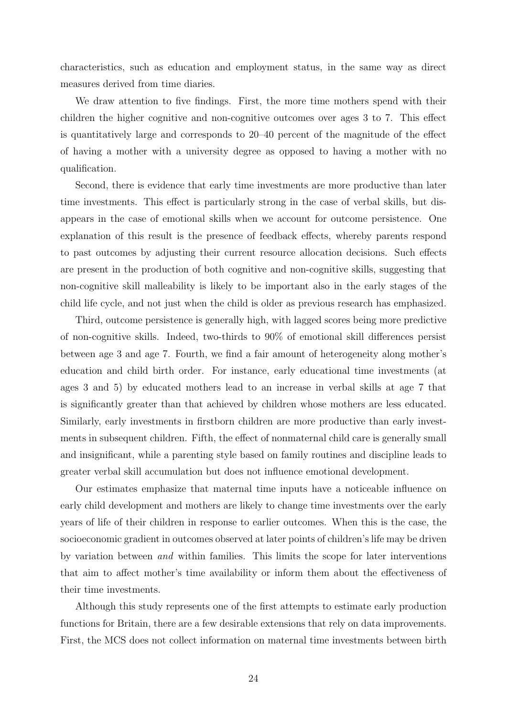characteristics, such as education and employment status, in the same way as direct measures derived from time diaries.

We draw attention to five findings. First, the more time mothers spend with their children the higher cognitive and non-cognitive outcomes over ages 3 to 7. This effect is quantitatively large and corresponds to 20–40 percent of the magnitude of the effect of having a mother with a university degree as opposed to having a mother with no qualification.

Second, there is evidence that early time investments are more productive than later time investments. This effect is particularly strong in the case of verbal skills, but disappears in the case of emotional skills when we account for outcome persistence. One explanation of this result is the presence of feedback effects, whereby parents respond to past outcomes by adjusting their current resource allocation decisions. Such effects are present in the production of both cognitive and non-cognitive skills, suggesting that non-cognitive skill malleability is likely to be important also in the early stages of the child life cycle, and not just when the child is older as previous research has emphasized.

Third, outcome persistence is generally high, with lagged scores being more predictive of non-cognitive skills. Indeed, two-thirds to 90% of emotional skill differences persist between age 3 and age 7. Fourth, we find a fair amount of heterogeneity along mother's education and child birth order. For instance, early educational time investments (at ages 3 and 5) by educated mothers lead to an increase in verbal skills at age 7 that is significantly greater than that achieved by children whose mothers are less educated. Similarly, early investments in firstborn children are more productive than early investments in subsequent children. Fifth, the effect of nonmaternal child care is generally small and insignificant, while a parenting style based on family routines and discipline leads to greater verbal skill accumulation but does not influence emotional development.

Our estimates emphasize that maternal time inputs have a noticeable influence on early child development and mothers are likely to change time investments over the early years of life of their children in response to earlier outcomes. When this is the case, the socioeconomic gradient in outcomes observed at later points of children's life may be driven by variation between and within families. This limits the scope for later interventions that aim to affect mother's time availability or inform them about the effectiveness of their time investments.

Although this study represents one of the first attempts to estimate early production functions for Britain, there are a few desirable extensions that rely on data improvements. First, the MCS does not collect information on maternal time investments between birth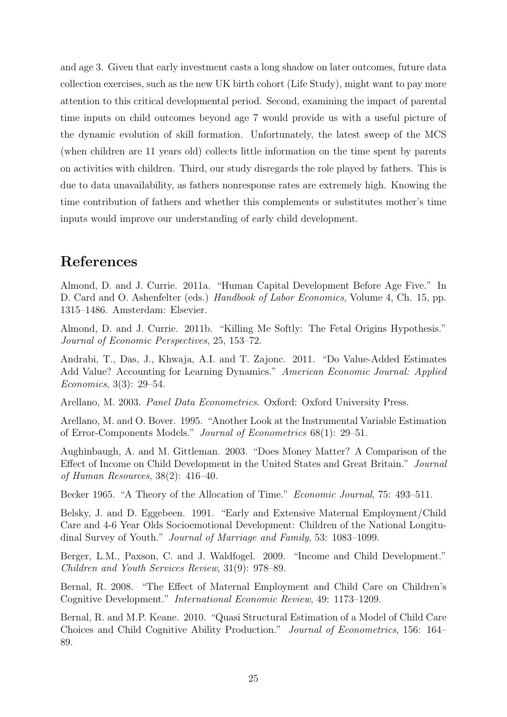and age 3. Given that early investment casts a long shadow on later outcomes, future data collection exercises, such as the new UK birth cohort (Life Study), might want to pay more attention to this critical developmental period. Second, examining the impact of parental time inputs on child outcomes beyond age 7 would provide us with a useful picture of the dynamic evolution of skill formation. Unfortunately, the latest sweep of the MCS (when children are 11 years old) collects little information on the time spent by parents on activities with children. Third, our study disregards the role played by fathers. This is due to data unavailability, as fathers nonresponse rates are extremely high. Knowing the time contribution of fathers and whether this complements or substitutes mother's time inputs would improve our understanding of early child development.

### References

Almond, D. and J. Currie. 2011a. "Human Capital Development Before Age Five." In D. Card and O. Ashenfelter (eds.) Handbook of Labor Economics, Volume 4, Ch. 15, pp. 1315–1486. Amsterdam: Elsevier.

Almond, D. and J. Currie. 2011b. "Killing Me Softly: The Fetal Origins Hypothesis." Journal of Economic Perspectives, 25, 153–72.

Andrabi, T., Das, J., Khwaja, A.I. and T. Zajonc. 2011. "Do Value-Added Estimates Add Value? Accounting for Learning Dynamics." American Economic Journal: Applied Economics, 3(3): 29–54.

Arellano, M. 2003. Panel Data Econometrics. Oxford: Oxford University Press.

Arellano, M. and O. Bover. 1995. "Another Look at the Instrumental Variable Estimation of Error-Components Models." Journal of Econometrics 68(1): 29–51.

Aughinbaugh, A. and M. Gittleman. 2003. "Does Money Matter? A Comparison of the Effect of Income on Child Development in the United States and Great Britain." Journal of Human Resources, 38(2): 416–40.

Becker 1965. "A Theory of the Allocation of Time." *Economic Journal*, 75: 493–511.

Belsky, J. and D. Eggebeen. 1991. "Early and Extensive Maternal Employment/Child Care and 4-6 Year Olds Socioemotional Development: Children of the National Longitudinal Survey of Youth." Journal of Marriage and Family, 53: 1083–1099.

Berger, L.M., Paxson, C. and J. Waldfogel. 2009. "Income and Child Development." Children and Youth Services Review, 31(9): 978–89.

Bernal, R. 2008. "The Effect of Maternal Employment and Child Care on Children's Cognitive Development." International Economic Review, 49: 1173–1209.

Bernal, R. and M.P. Keane. 2010. "Quasi Structural Estimation of a Model of Child Care Choices and Child Cognitive Ability Production." Journal of Econometrics, 156: 164– 89.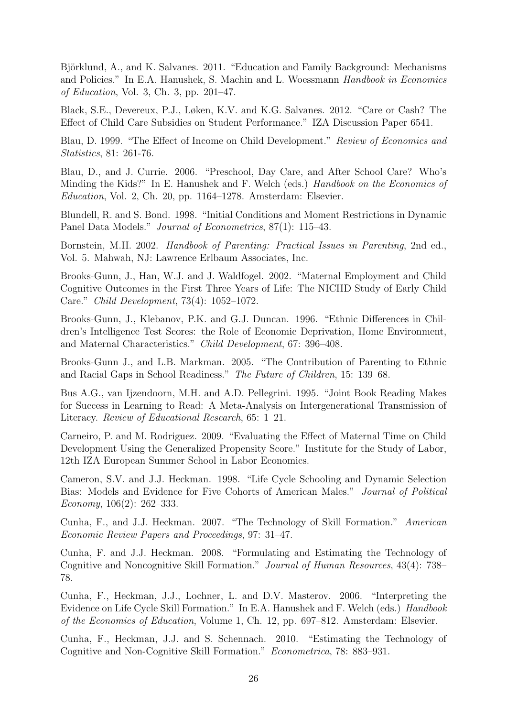Björklund, A., and K. Salvanes. 2011. "Education and Family Background: Mechanisms and Policies." In E.A. Hanushek, S. Machin and L. Woessmann Handbook in Economics of Education, Vol. 3, Ch. 3, pp. 201–47.

Black, S.E., Devereux, P.J., Løken, K.V. and K.G. Salvanes. 2012. "Care or Cash? The Effect of Child Care Subsidies on Student Performance." IZA Discussion Paper 6541.

Blau, D. 1999. "The Effect of Income on Child Development." Review of Economics and Statistics, 81: 261-76.

Blau, D., and J. Currie. 2006. "Preschool, Day Care, and After School Care? Who's Minding the Kids?" In E. Hanushek and F. Welch (eds.) Handbook on the Economics of Education, Vol. 2, Ch. 20, pp. 1164–1278. Amsterdam: Elsevier.

Blundell, R. and S. Bond. 1998. "Initial Conditions and Moment Restrictions in Dynamic Panel Data Models." Journal of Econometrics, 87(1): 115–43.

Bornstein, M.H. 2002. Handbook of Parenting: Practical Issues in Parenting, 2nd ed., Vol. 5. Mahwah, NJ: Lawrence Erlbaum Associates, Inc.

Brooks-Gunn, J., Han, W.J. and J. Waldfogel. 2002. "Maternal Employment and Child Cognitive Outcomes in the First Three Years of Life: The NICHD Study of Early Child Care." Child Development, 73(4): 1052–1072.

Brooks-Gunn, J., Klebanov, P.K. and G.J. Duncan. 1996. "Ethnic Differences in Children's Intelligence Test Scores: the Role of Economic Deprivation, Home Environment, and Maternal Characteristics." Child Development, 67: 396–408.

Brooks-Gunn J., and L.B. Markman. 2005. "The Contribution of Parenting to Ethnic and Racial Gaps in School Readiness." The Future of Children, 15: 139–68.

Bus A.G., van Ijzendoorn, M.H. and A.D. Pellegrini. 1995. "Joint Book Reading Makes for Success in Learning to Read: A Meta-Analysis on Intergenerational Transmission of Literacy. Review of Educational Research, 65: 1–21.

Carneiro, P. and M. Rodriguez. 2009. "Evaluating the Effect of Maternal Time on Child Development Using the Generalized Propensity Score." Institute for the Study of Labor, 12th IZA European Summer School in Labor Economics.

Cameron, S.V. and J.J. Heckman. 1998. "Life Cycle Schooling and Dynamic Selection Bias: Models and Evidence for Five Cohorts of American Males." Journal of Political Economy,  $106(2)$ :  $262-333$ .

Cunha, F., and J.J. Heckman. 2007. "The Technology of Skill Formation." American Economic Review Papers and Proceedings, 97: 31–47.

Cunha, F. and J.J. Heckman. 2008. "Formulating and Estimating the Technology of Cognitive and Noncognitive Skill Formation." Journal of Human Resources, 43(4): 738– 78.

Cunha, F., Heckman, J.J., Lochner, L. and D.V. Masterov. 2006. "Interpreting the Evidence on Life Cycle Skill Formation." In E.A. Hanushek and F. Welch (eds.) *Handbook* of the Economics of Education, Volume 1, Ch. 12, pp. 697–812. Amsterdam: Elsevier.

Cunha, F., Heckman, J.J. and S. Schennach. 2010. "Estimating the Technology of Cognitive and Non-Cognitive Skill Formation." Econometrica, 78: 883–931.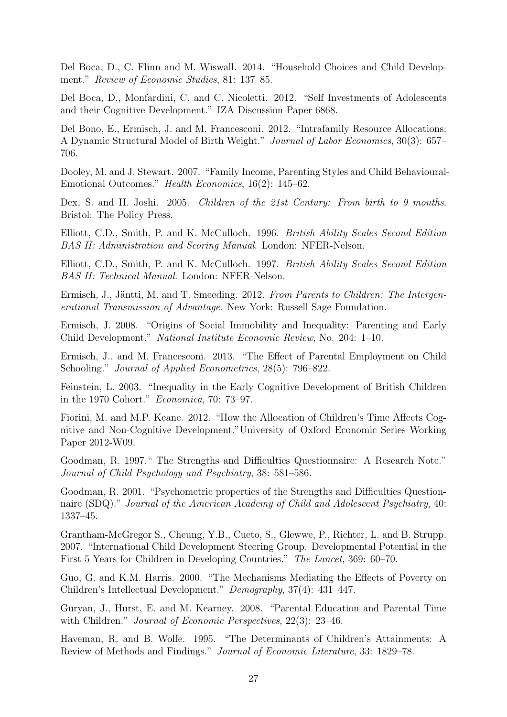Del Boca, D., C. Flinn and M. Wiswall. 2014. "Household Choices and Child Development." Review of Economic Studies, 81: 137–85.

Del Boca, D., Monfardini, C. and C. Nicoletti. 2012. "Self Investments of Adolescents and their Cognitive Development." IZA Discussion Paper 6868.

Del Bono, E., Ermisch, J. and M. Francesconi. 2012. "Intrafamily Resource Allocations: A Dynamic Structural Model of Birth Weight." Journal of Labor Economics, 30(3): 657– 706.

Dooley, M. and J. Stewart. 2007. "Family Income, Parenting Styles and Child Behavioural-Emotional Outcomes." Health Economics, 16(2): 145–62.

Dex, S. and H. Joshi. 2005. Children of the 21st Century: From birth to 9 months. Bristol: The Policy Press.

Elliott, C.D., Smith, P. and K. McCulloch. 1996. British Ability Scales Second Edition BAS II: Administration and Scoring Manual. London: NFER-Nelson.

Elliott, C.D., Smith, P. and K. McCulloch. 1997. British Ability Scales Second Edition BAS II: Technical Manual. London: NFER-Nelson.

Ermisch, J., Jäntti, M. and T. Smeeding. 2012. From Parents to Children: The Intergenerational Transmission of Advantage. New York: Russell Sage Foundation.

Ermisch, J. 2008. "Origins of Social Immobility and Inequality: Parenting and Early Child Development." National Institute Economic Review, No. 204: 1–10.

Ermisch, J., and M. Francesconi. 2013. "The Effect of Parental Employment on Child Schooling." Journal of Applied Econometrics, 28(5): 796–822.

Feinstein, L. 2003. "Inequality in the Early Cognitive Development of British Children in the 1970 Cohort." Economica, 70: 73–97.

Fiorini, M. and M.P. Keane. 2012. "How the Allocation of Children's Time Affects Cognitive and Non-Cognitive Development."University of Oxford Economic Series Working Paper 2012-W09.

Goodman, R. 1997." The Strengths and Difficulties Questionnaire: A Research Note." Journal of Child Psychology and Psychiatry, 38: 581–586.

Goodman, R. 2001. "Psychometric properties of the Strengths and Difficulties Questionnaire (SDQ)." Journal of the American Academy of Child and Adolescent Psychiatry, 40: 1337–45.

Grantham-McGregor S., Cheung, Y.B., Cueto, S., Glewwe, P., Richter, L. and B. Strupp. 2007. "International Child Development Steering Group. Developmental Potential in the First 5 Years for Children in Developing Countries." The Lancet, 369: 60–70.

Guo, G. and K.M. Harris. 2000. "The Mechanisms Mediating the Effects of Poverty on Children's Intellectual Development." Demography, 37(4): 431–447.

Guryan, J., Hurst, E. and M. Kearney. 2008. "Parental Education and Parental Time with Children." *Journal of Economic Perspectives*, 22(3): 23–46.

Haveman, R. and B. Wolfe. 1995. "The Determinants of Children's Attainments: A Review of Methods and Findings." Journal of Economic Literature, 33: 1829–78.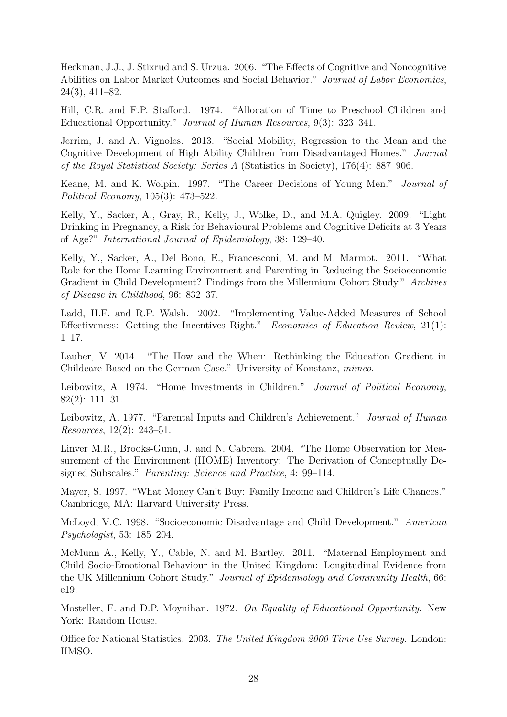Heckman, J.J., J. Stixrud and S. Urzua. 2006. "The Effects of Cognitive and Noncognitive Abilities on Labor Market Outcomes and Social Behavior." Journal of Labor Economics, 24(3), 411–82.

Hill, C.R. and F.P. Stafford. 1974. "Allocation of Time to Preschool Children and Educational Opportunity." Journal of Human Resources, 9(3): 323–341.

Jerrim, J. and A. Vignoles. 2013. "Social Mobility, Regression to the Mean and the Cognitive Development of High Ability Children from Disadvantaged Homes." Journal of the Royal Statistical Society: Series A (Statistics in Society), 176(4): 887–906.

Keane, M. and K. Wolpin. 1997. "The Career Decisions of Young Men." Journal of Political Economy, 105(3): 473–522.

Kelly, Y., Sacker, A., Gray, R., Kelly, J., Wolke, D., and M.A. Quigley. 2009. "Light Drinking in Pregnancy, a Risk for Behavioural Problems and Cognitive Deficits at 3 Years of Age?" International Journal of Epidemiology, 38: 129–40.

Kelly, Y., Sacker, A., Del Bono, E., Francesconi, M. and M. Marmot. 2011. "What Role for the Home Learning Environment and Parenting in Reducing the Socioeconomic Gradient in Child Development? Findings from the Millennium Cohort Study." Archives of Disease in Childhood, 96: 832–37.

Ladd, H.F. and R.P. Walsh. 2002. "Implementing Value-Added Measures of School Effectiveness: Getting the Incentives Right." Economics of Education Review, 21(1): 1–17.

Lauber, V. 2014. "The How and the When: Rethinking the Education Gradient in Childcare Based on the German Case." University of Konstanz, mimeo.

Leibowitz, A. 1974. "Home Investments in Children." *Journal of Political Economy*, 82(2): 111–31.

Leibowitz, A. 1977. "Parental Inputs and Children's Achievement." Journal of Human Resources, 12(2): 243–51.

Linver M.R., Brooks-Gunn, J. and N. Cabrera. 2004. "The Home Observation for Measurement of the Environment (HOME) Inventory: The Derivation of Conceptually Designed Subscales." *Parenting: Science and Practice*, 4: 99–114.

Mayer, S. 1997. "What Money Can't Buy: Family Income and Children's Life Chances." Cambridge, MA: Harvard University Press.

McLoyd, V.C. 1998. "Socioeconomic Disadvantage and Child Development." American Psychologist, 53: 185–204.

McMunn A., Kelly, Y., Cable, N. and M. Bartley. 2011. "Maternal Employment and Child Socio-Emotional Behaviour in the United Kingdom: Longitudinal Evidence from the UK Millennium Cohort Study." Journal of Epidemiology and Community Health, 66: e19.

Mosteller, F. and D.P. Moynihan. 1972. On Equality of Educational Opportunity. New York: Random House.

Office for National Statistics. 2003. The United Kingdom 2000 Time Use Survey. London: HMSO.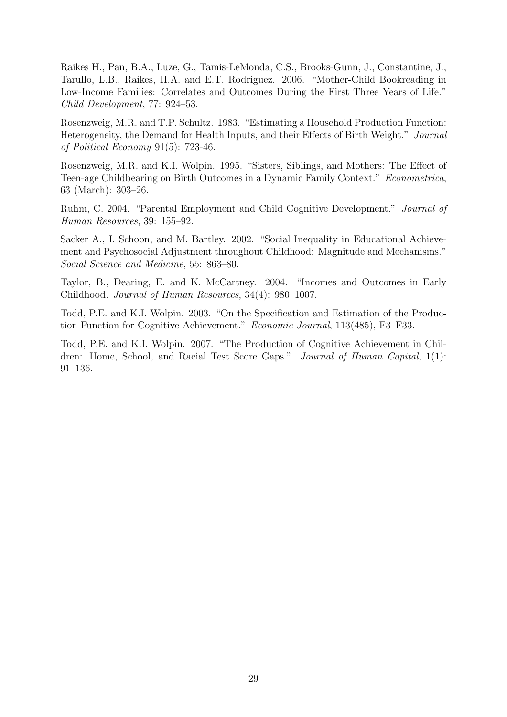Raikes H., Pan, B.A., Luze, G., Tamis-LeMonda, C.S., Brooks-Gunn, J., Constantine, J., Tarullo, L.B., Raikes, H.A. and E.T. Rodriguez. 2006. "Mother-Child Bookreading in Low-Income Families: Correlates and Outcomes During the First Three Years of Life." Child Development, 77: 924–53.

Rosenzweig, M.R. and T.P. Schultz. 1983. "Estimating a Household Production Function: Heterogeneity, the Demand for Health Inputs, and their Effects of Birth Weight." Journal of Political Economy 91(5): 723-46.

Rosenzweig, M.R. and K.I. Wolpin. 1995. "Sisters, Siblings, and Mothers: The Effect of Teen-age Childbearing on Birth Outcomes in a Dynamic Family Context." Econometrica, 63 (March): 303–26.

Ruhm, C. 2004. "Parental Employment and Child Cognitive Development." Journal of Human Resources, 39: 155–92.

Sacker A., I. Schoon, and M. Bartley. 2002. "Social Inequality in Educational Achievement and Psychosocial Adjustment throughout Childhood: Magnitude and Mechanisms." Social Science and Medicine, 55: 863–80.

Taylor, B., Dearing, E. and K. McCartney. 2004. "Incomes and Outcomes in Early Childhood. Journal of Human Resources, 34(4): 980–1007.

Todd, P.E. and K.I. Wolpin. 2003. "On the Specification and Estimation of the Production Function for Cognitive Achievement." Economic Journal, 113(485), F3–F33.

Todd, P.E. and K.I. Wolpin. 2007. "The Production of Cognitive Achievement in Children: Home, School, and Racial Test Score Gaps." Journal of Human Capital, 1(1): 91–136.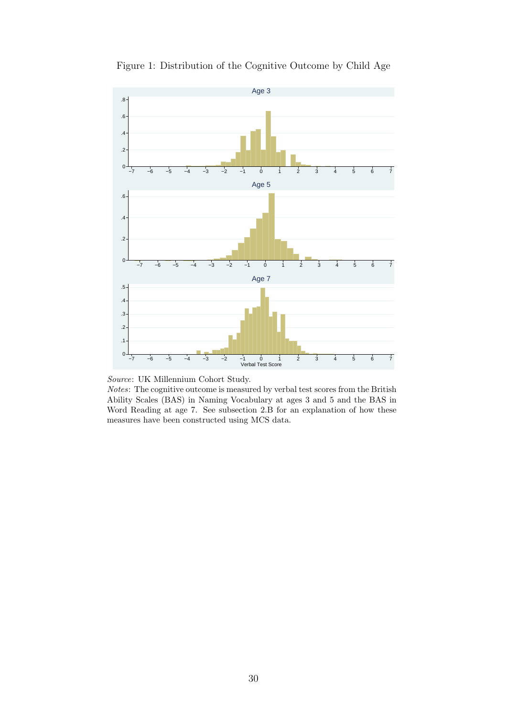

Figure 1: Distribution of the Cognitive Outcome by Child Age



Notes: The cognitive outcome is measured by verbal test scores from the British Ability Scales (BAS) in Naming Vocabulary at ages 3 and 5 and the BAS in Word Reading at age 7. See subsection 2.B for an explanation of how these measures have been constructed using MCS data.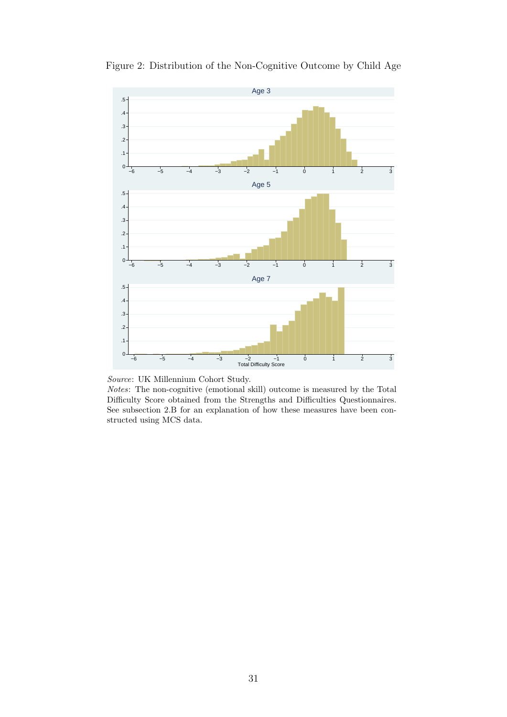

Figure 2: Distribution of the Non-Cognitive Outcome by Child Age

Notes: The non-cognitive (emotional skill) outcome is measured by the Total Difficulty Score obtained from the Strengths and Difficulties Questionnaires. See subsection 2.B for an explanation of how these measures have been constructed using MCS data.

Source: UK Millennium Cohort Study.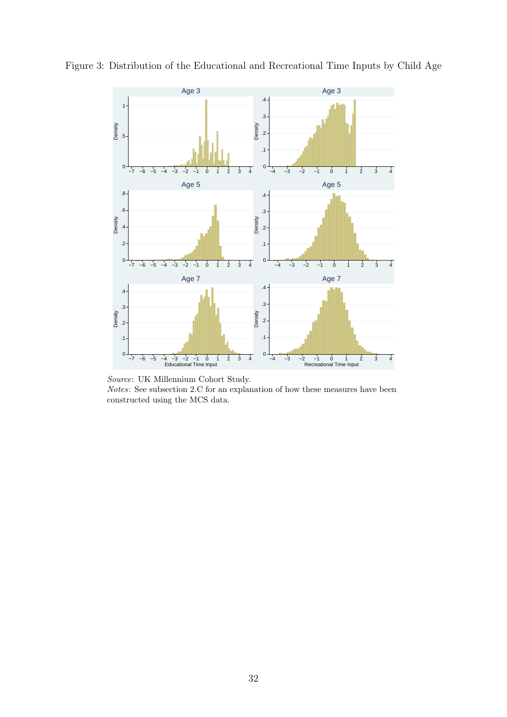

Figure 3: Distribution of the Educational and Recreational Time Inputs by Child Age

Source: UK Millennium Cohort Study.

Notes: See subsection 2.C for an explanation of how these measures have been constructed using the MCS data.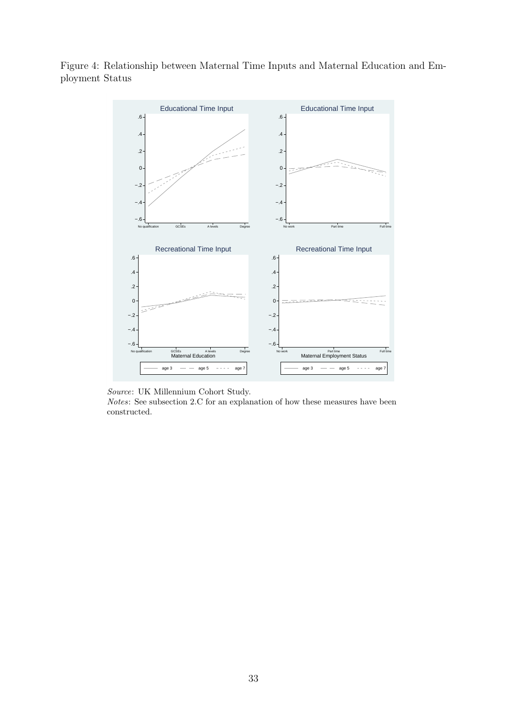



Source: UK Millennium Cohort Study.

Notes: See subsection 2.C for an explanation of how these measures have been constructed.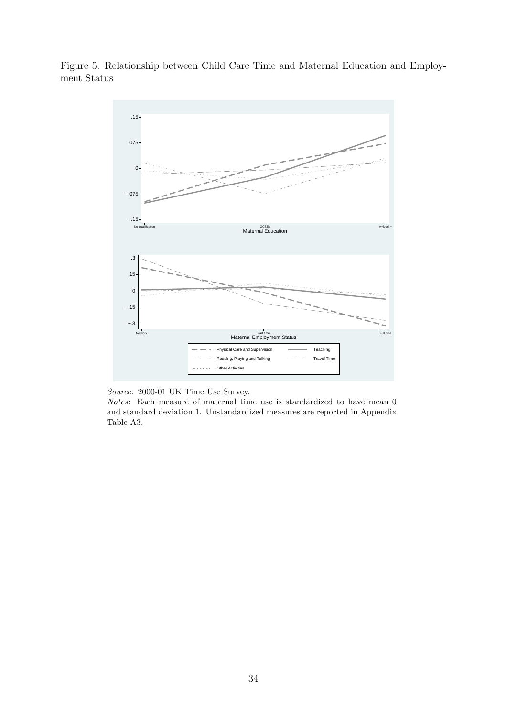



Source: 2000-01 UK Time Use Survey.

Notes: Each measure of maternal time use is standardized to have mean 0 and standard deviation 1. Unstandardized measures are reported in Appendix Table A3.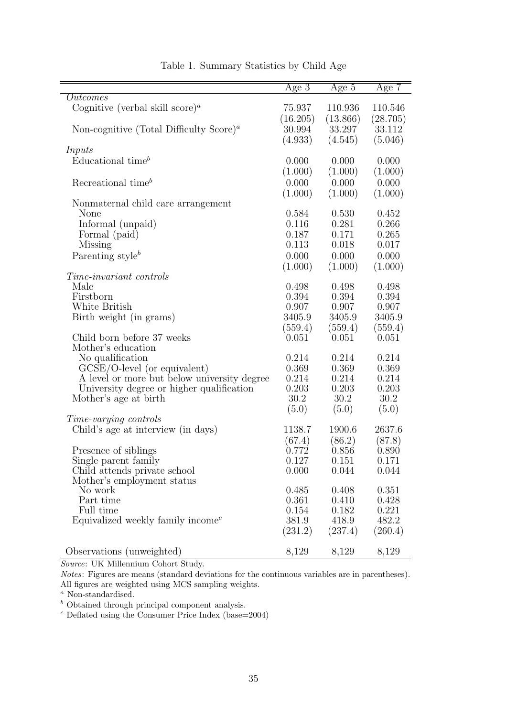|                                                                  | Age $3$  | Age $5$  | Age $7$  |
|------------------------------------------------------------------|----------|----------|----------|
| Outcomes                                                         |          |          |          |
| Cognitive (verbal skill score) <sup><i>a</i></sup>               | 75.937   | 110.936  | 110.546  |
|                                                                  | (16.205) | (13.866) | (28.705) |
| Non-cognitive (Total Difficulty Score) <sup><math>a</math></sup> | 30.994   | 33.297   | 33.112   |
|                                                                  |          |          |          |
|                                                                  | (4.933)  | (4.545)  | (5.046)  |
| Inputs                                                           |          |          |          |
| Educational time <sup>b</sup>                                    | 0.000    | 0.000    | 0.000    |
|                                                                  | (1.000)  | (1.000)  | (1.000)  |
| Recreational time <sup>b</sup>                                   | 0.000    | 0.000    | 0.000    |
|                                                                  | (1.000)  | (1.000)  | (1.000)  |
| Nonmaternal child care arrangement                               |          |          |          |
| None                                                             | 0.584    | 0.530    | 0.452    |
| Informal (unpaid)                                                | 0.116    | 0.281    | 0.266    |
| Formal (paid)                                                    | 0.187    | 0.171    | 0.265    |
| Missing                                                          | 0.113    | 0.018    | 0.017    |
|                                                                  |          |          |          |
| Parenting style <sup>b</sup>                                     | 0.000    | 0.000    | 0.000    |
|                                                                  | (1.000)  | (1.000)  | (1.000)  |
| <i>Time-invariant controls</i>                                   |          |          |          |
| Male                                                             | 0.498    | 0.498    | 0.498    |
| Firstborn                                                        | 0.394    | 0.394    | 0.394    |
| White British                                                    | 0.907    | 0.907    | 0.907    |
| Birth weight (in grams)                                          | 3405.9   | 3405.9   | 3405.9   |
|                                                                  | (559.4)  | (559.4)  | (559.4)  |
| Child born before 37 weeks                                       | 0.051    | 0.051    | 0.051    |
| Mother's education                                               |          |          |          |
| No qualification                                                 | 0.214    | 0.214    | 0.214    |
| $GCSE/O$ -level (or equivalent)                                  | 0.369    | 0.369    | 0.369    |
| A level or more but below university degree                      | 0.214    | 0.214    | 0.214    |
| University degree or higher qualification                        | 0.203    | 0.203    | 0.203    |
| Mother's age at birth                                            | 30.2     | 30.2     | 30.2     |
|                                                                  | (5.0)    | (5.0)    | (5.0)    |
| Time-varying controls                                            |          |          |          |
|                                                                  |          |          |          |
| Child's age at interview (in days)                               | 1138.7   | 1900.6   | 2637.6   |
|                                                                  | (67.4)   | (86.2)   | (87.8)   |
| Presence of siblings                                             | 0.772    | 0.856    | 0.890    |
| Single parent family                                             | 0.127    | 0.151    | 0.171    |
| Child attends private school                                     | 0.000    | 0.044    | 0.044    |
| Mother's employment status                                       |          |          |          |
| No work                                                          | 0.485    | 0.408    | 0.351    |
| Part time                                                        | 0.361    | 0.410    | 0.428    |
| Full time                                                        | 0.154    | 0.182    | 0.221    |
| Equivalized weekly family income <sup><math>c</math></sup>       | 381.9    | 418.9    | 482.2    |
|                                                                  | (231.2)  | (237.4)  | (260.4)  |
|                                                                  |          |          |          |
| Observations (unweighted)                                        | 8,129    | 8,129    | 8,129    |

Table 1. Summary Statistics by Child Age

Notes: Figures are means (standard deviations for the continuous variables are in parentheses). All figures are weighted using MCS sampling weights.

<sup>a</sup> Non-standardised.

 $\real^b$  Obtained through principal component analysis.

 $c$  Deflated using the Consumer Price Index (base=2004)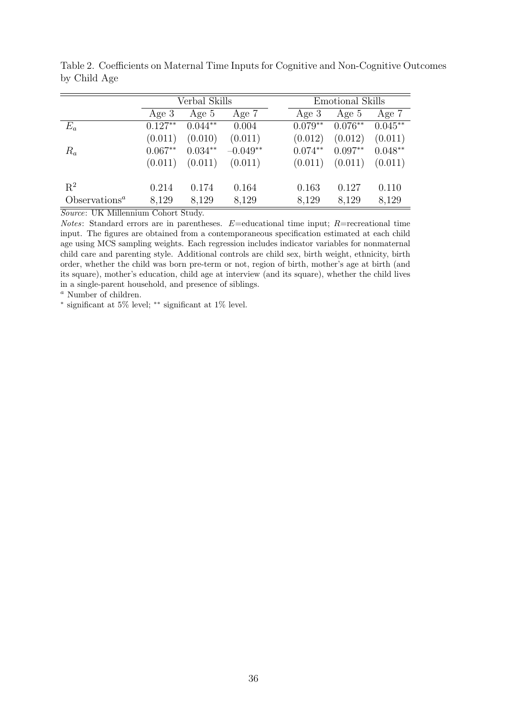|                           | Verbal Skills |           |            | Emotional Skills |           |           |           |
|---------------------------|---------------|-----------|------------|------------------|-----------|-----------|-----------|
|                           | Age $3$       | Age 5     | Age 7      |                  | Age 3     | Age 5     | Age 7     |
| $E_a$                     | $0.127**$     | $0.044**$ | 0.004      |                  | $0.079**$ | $0.076**$ | $0.045**$ |
|                           | (0.011)       | (0.010)   | (0.011)    |                  | (0.012)   | (0.012)   | (0.011)   |
| $R_a$                     | $0.067**$     | $0.034**$ | $-0.049**$ |                  | $0.074**$ | $0.097**$ | $0.048**$ |
|                           | (0.011)       | (0.011)   | (0.011)    |                  | (0.011)   | (0.011)   | (0.011)   |
| $R^2$                     | 0.214         | 0.174     | 0.164      |                  | 0.163     | 0.127     | 0.110     |
| Observations <sup>a</sup> | 8,129         | 8,129     | 8,129      |                  | 8,129     | 8,129     | 8,129     |

Table 2. Coefficients on Maternal Time Inputs for Cognitive and Non-Cognitive Outcomes by Child Age

Notes: Standard errors are in parentheses.  $E=$  educational time input;  $R=$  recreational time input. The figures are obtained from a contemporaneous specification estimated at each child age using MCS sampling weights. Each regression includes indicator variables for nonmaternal child care and parenting style. Additional controls are child sex, birth weight, ethnicity, birth order, whether the child was born pre-term or not, region of birth, mother's age at birth (and its square), mother's education, child age at interview (and its square), whether the child lives in a single-parent household, and presence of siblings.

<sup>a</sup> Number of children.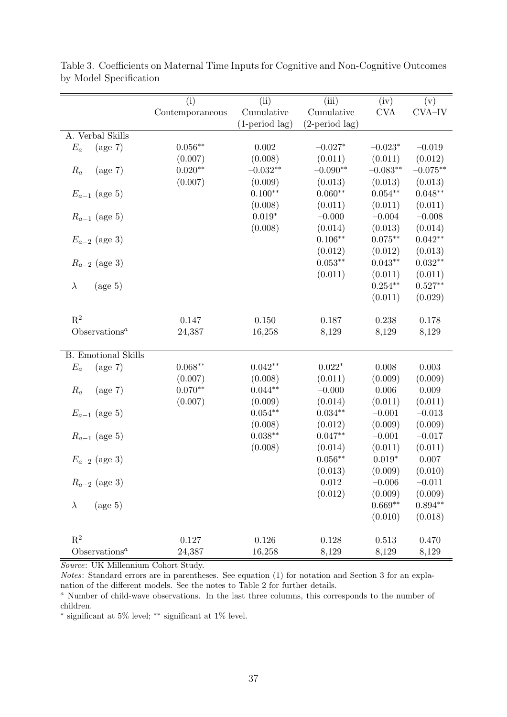|                                        | $\overline{(\mathrm{i})}$ | (iii)                   | (iii)                   | $\overline{({\rm iv})}$ | (v)         |
|----------------------------------------|---------------------------|-------------------------|-------------------------|-------------------------|-------------|
|                                        | Contemporaneous           | Cumulative              | Cumulative              | <b>CVA</b>              | CVA-IV      |
|                                        |                           | $(1\text{-period lag})$ | $(2\text{-period lag})$ |                         |             |
| A. Verbal Skills                       |                           |                         |                         |                         |             |
| $E_a$<br>$(\text{age } 7)$             | $0.056**$                 | 0.002                   | $-0.027*$               | $-0.023*$               | $-0.019$    |
|                                        | (0.007)                   | (0.008)                 | (0.011)                 | (0.011)                 | (0.012)     |
| $(\text{age } 7)$<br>$R_a$             | $0.020^{\ast\ast}$        | $-0.032^{\ast\ast}$     | $-0.090**$              | $-0.083**$              | $-0.075**$  |
|                                        | (0.007)                   | (0.009)                 | (0.013)                 | (0.013)                 | (0.013)     |
| $E_{a-1}$ (age 5)                      |                           | $0.100**$               | $0.060**$               | $0.054**$               | $0.048**$   |
|                                        |                           | (0.008)                 | (0.011)                 | (0.011)                 | (0.011)     |
| $R_{a-1}$ (age 5)                      |                           | $0.019*$                | $-0.000$                | $-0.004$                | $-0.008$    |
|                                        |                           | (0.008)                 | (0.014)                 | (0.013)                 | (0.014)     |
| $E_{a-2}$ (age 3)                      |                           |                         | $0.106**$               | $0.075**$               | $0.042**$   |
|                                        |                           |                         | (0.012)                 | (0.012)                 | (0.013)     |
| $R_{a-2}$ (age 3)                      |                           |                         | $0.053**$               | $0.043**$               | $0.032**$   |
|                                        |                           |                         | (0.011)                 | (0.011)                 | (0.011)     |
| $(\text{age } 5)$<br>$\lambda$         |                           |                         |                         | $0.254**$               | $0.527**$   |
|                                        |                           |                         |                         | (0.011)                 | (0.029)     |
|                                        |                           |                         |                         |                         |             |
| $R^2$                                  | 0.147                     | 0.150                   | 0.187                   | 0.238                   | 0.178       |
| Observations <sup><math>a</math></sup> | 24,387                    | 16,258                  | 8,129                   | 8,129                   | 8,129       |
|                                        |                           |                         |                         |                         |             |
| <b>B.</b> Emotional Skills             |                           |                         |                         |                         |             |
| $E_a$<br>$(\text{age } 7)$             | $0.068**$                 | $0.042**$               | $0.022*$                | 0.008                   | $\,0.003\,$ |
|                                        | (0.007)                   | (0.008)                 | (0.011)                 | (0.009)                 | (0.009)     |
| $(\text{age } 7)$<br>$R_a$             | $0.070**$                 | $0.044**$               | $-0.000$                | 0.006                   | 0.009       |
|                                        | (0.007)                   | (0.009)                 | (0.014)                 | (0.011)                 | (0.011)     |
| $E_{a-1}$ (age 5)                      |                           | $0.054**$               | $0.034***$              | $-0.001$                | $-0.013$    |
|                                        |                           | (0.008)                 | (0.012)                 | (0.009)                 | (0.009)     |
| $R_{a-1}$ (age 5)                      |                           | $0.038**$               | $0.047**$               | $-0.001$                | $-0.017$    |
|                                        |                           | (0.008)                 | (0.014)                 | (0.011)                 | (0.011)     |
| $E_{a-2}$ (age 3)                      |                           |                         | $0.056**$               | $0.019*$                | 0.007       |
|                                        |                           |                         | (0.013)                 | (0.009)                 | (0.010)     |
| $R_{a-2}$ (age 3)                      |                           |                         | 0.012                   | $-0.006$                | $-0.011$    |
|                                        |                           |                         | (0.012)                 | (0.009)                 | (0.009)     |
| $(\text{age } 5)$<br>$\lambda$         |                           |                         |                         | $0.669**$               | $0.894**$   |
|                                        |                           |                         |                         | (0.010)                 | (0.018)     |
| $R^2$                                  |                           |                         |                         |                         |             |
| Observations <sup><math>a</math></sup> | 0.127                     | 0.126                   | 0.128                   | 0.513                   | 0.470       |
|                                        | 24,387                    | 16,258                  | 8,129                   | 8,129                   | 8,129       |

Table 3. Coefficients on Maternal Time Inputs for Cognitive and Non-Cognitive Outcomes by Model Specification

Notes: Standard errors are in parentheses. See equation (1) for notation and Section 3 for an explanation of the different models. See the notes to Table 2 for further details.

<sup>a</sup> Number of child-wave observations. In the last three columns, this corresponds to the number of children.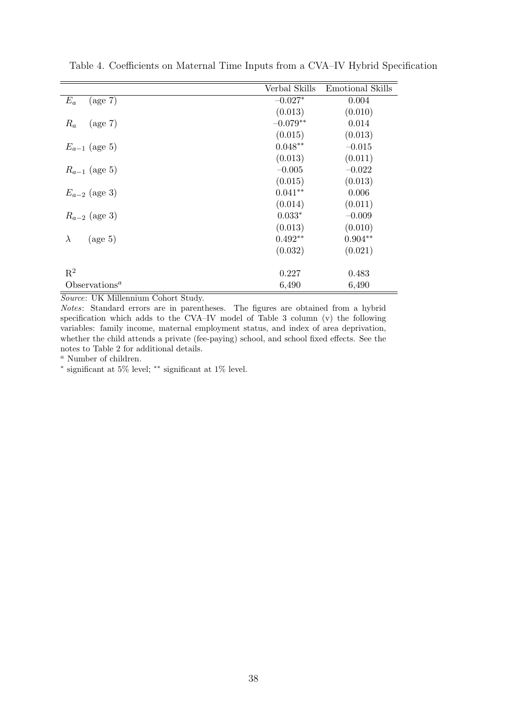|                                        | Verbal Skills | Emotional Skills |
|----------------------------------------|---------------|------------------|
| $E_a$<br>$(\text{age } 7)$             | $-0.027*$     | 0.004            |
|                                        | (0.013)       | (0.010)          |
| $R_a$<br>$(\text{age } 7)$             | $-0.079**$    | 0.014            |
|                                        | (0.015)       | (0.013)          |
| $E_{a-1}$ (age 5)                      | $0.048**$     | $-0.015$         |
|                                        | (0.013)       | (0.011)          |
| $R_{a-1}$ (age 5)                      | $-0.005$      | $-0.022$         |
|                                        | (0.015)       | (0.013)          |
| $E_{a-2}$ (age 3)                      | $0.041**$     | 0.006            |
|                                        | (0.014)       | (0.011)          |
| $R_{a-2}$ (age 3)                      | $0.033*$      | $-0.009$         |
|                                        | (0.013)       | (0.010)          |
| $(\text{age } 5)$<br>$\lambda$         | $0.492**$     | $0.904**$        |
|                                        | (0.032)       | (0.021)          |
|                                        |               |                  |
| $R^2$                                  | 0.227         | 0.483            |
| Observations <sup><math>a</math></sup> | 6,490         | 6,490            |

Table 4. Coefficients on Maternal Time Inputs from a CVA–IV Hybrid Specification

Notes: Standard errors are in parentheses. The figures are obtained from a hybrid specification which adds to the CVA–IV model of Table 3 column (v) the following variables: family income, maternal employment status, and index of area deprivation, whether the child attends a private (fee-paying) school, and school fixed effects. See the notes to Table 2 for additional details.

<sup>a</sup> Number of children.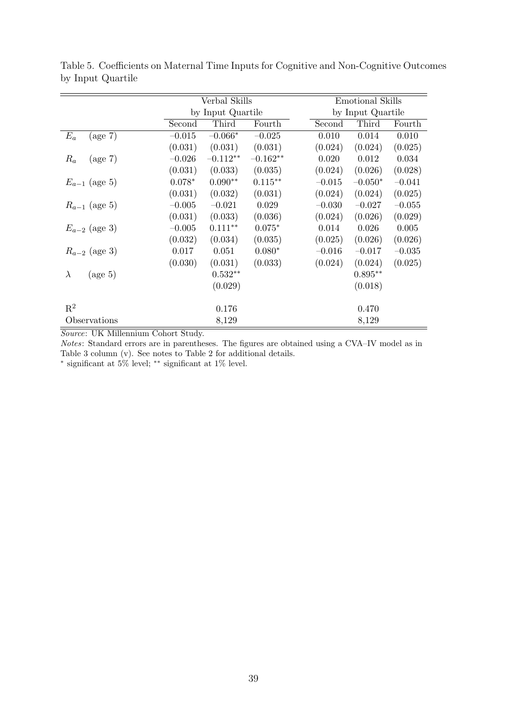|                                | Verbal Skills     |            |            |  | <b>Emotional Skills</b> |           |          |
|--------------------------------|-------------------|------------|------------|--|-------------------------|-----------|----------|
|                                | by Input Quartile |            |            |  | by Input Quartile       |           |          |
|                                | Second            | Third      | Fourth     |  | Second                  | Third     | Fourth   |
| $E_a$<br>$(\text{age } 7)$     | $-0.015$          | $-0.066*$  | $-0.025$   |  | 0.010                   | 0.014     | 0.010    |
|                                | (0.031)           | (0.031)    | (0.031)    |  | (0.024)                 | (0.024)   | (0.025)  |
| $R_a$<br>$(\text{age } 7)$     | $-0.026$          | $-0.112**$ | $-0.162**$ |  | 0.020                   | 0.012     | 0.034    |
|                                | (0.031)           | (0.033)    | (0.035)    |  | (0.024)                 | (0.026)   | (0.028)  |
| $E_{a-1}$ (age 5)              | $0.078*$          | $0.090**$  | $0.115***$ |  | $-0.015$                | $-0.050*$ | $-0.041$ |
|                                | (0.031)           | (0.032)    | (0.031)    |  | (0.024)                 | (0.024)   | (0.025)  |
| $R_{a-1}$ (age 5)              | $-0.005$          | $-0.021$   | 0.029      |  | $-0.030$                | $-0.027$  | $-0.055$ |
|                                | (0.031)           | (0.033)    | (0.036)    |  | (0.024)                 | (0.026)   | (0.029)  |
| $E_{a-2}$ (age 3)              | $-0.005$          | $0.111**$  | $0.075*$   |  | 0.014                   | 0.026     | 0.005    |
|                                | (0.032)           | (0.034)    | (0.035)    |  | (0.025)                 | (0.026)   | (0.026)  |
| $R_{a-2}$ (age 3)              | 0.017             | 0.051      | $0.080*$   |  | $-0.016$                | $-0.017$  | $-0.035$ |
|                                | (0.030)           | (0.031)    | (0.033)    |  | (0.024)                 | (0.024)   | (0.025)  |
| $(\text{age } 5)$<br>$\lambda$ |                   | $0.532**$  |            |  |                         | $0.895**$ |          |
|                                |                   | (0.029)    |            |  |                         | (0.018)   |          |
| $\mathbf{R}^2$                 |                   | 0.176      |            |  |                         | 0.470     |          |
| Observations                   |                   | 8,129      |            |  |                         | 8,129     |          |

Table 5. Coefficients on Maternal Time Inputs for Cognitive and Non-Cognitive Outcomes by Input Quartile

Notes: Standard errors are in parentheses. The figures are obtained using a CVA–IV model as in Table 3 column (v). See notes to Table 2 for additional details.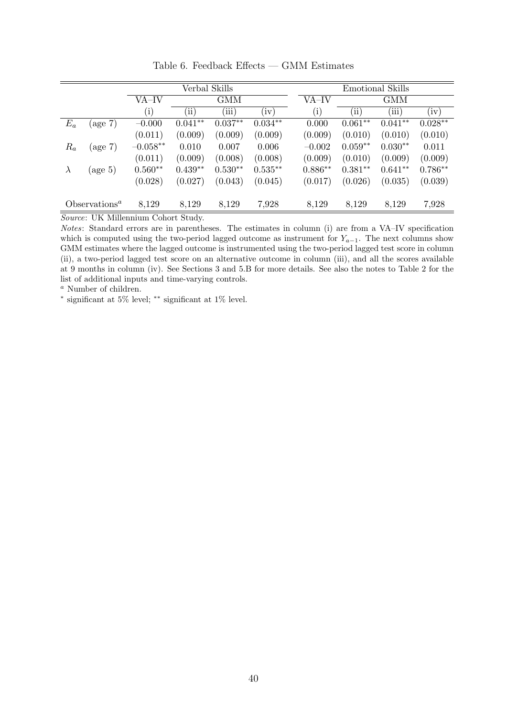| $E_a$                     | $(\text{age } 7)$ | VA–IV<br>(i) | $\rm (ii)$ | GMM<br>(iii) |           | VA-IV     |            | GMM       |           |
|---------------------------|-------------------|--------------|------------|--------------|-----------|-----------|------------|-----------|-----------|
|                           |                   |              |            |              |           |           |            |           |           |
|                           |                   |              |            |              | (iv)      | $\rm(i)$  | $\rm (ii)$ | (iii)     | (iv)      |
|                           |                   | $-0.000$     | $0.041**$  | $0.037**$    | $0.034**$ | 0.000     | $0.061**$  | $0.041**$ | $0.028**$ |
|                           |                   | (0.011)      | (0.009)    | (0.009)      | (0.009)   | (0.009)   | (0.010)    | (0.010)   | (0.010)   |
| $R_a$                     | $(\text{age } 7)$ | $-0.058**$   | 0.010      | 0.007        | 0.006     | $-0.002$  | $0.059**$  | $0.030**$ | 0.011     |
|                           |                   | (0.011)      | (0.009)    | (0.008)      | (0.008)   | (0.009)   | (0.010)    | (0.009)   | (0.009)   |
| $\lambda$                 | $(\text{age } 5)$ | $0.560**$    | $0.439**$  | $0.530**$    | $0.535**$ | $0.886**$ | $0.381**$  | $0.641**$ | $0.786**$ |
|                           |                   | (0.028)      | (0.027)    | (0.043)      | (0.045)   | (0.017)   | (0.026)    | (0.035)   | (0.039)   |
| Observations <sup>a</sup> |                   | 8,129        | 8,129      | 8,129        | 7,928     | 8,129     | 8,129      | 8,129     | 7,928     |

Table 6. Feedback Effects — GMM Estimates

Notes: Standard errors are in parentheses. The estimates in column (i) are from a VA–IV specification which is computed using the two-period lagged outcome as instrument for  $Y_{a-1}$ . The next columns show GMM estimates where the lagged outcome is instrumented using the two-period lagged test score in column (ii), a two-period lagged test score on an alternative outcome in column (iii), and all the scores available at 9 months in column (iv). See Sections 3 and 5.B for more details. See also the notes to Table 2 for the list of additional inputs and time-varying controls.

<sup>a</sup> Number of children.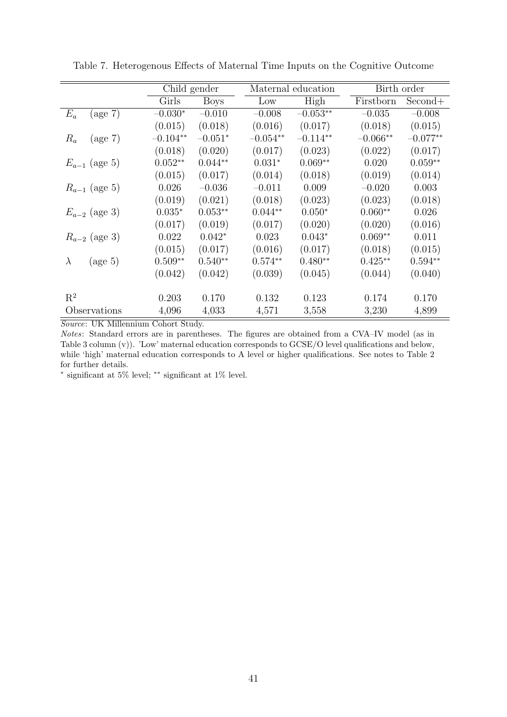|                                | Child gender |             |            | Maternal education  |            | Birth order |  |  |
|--------------------------------|--------------|-------------|------------|---------------------|------------|-------------|--|--|
|                                | Girls        | <b>Boys</b> | Low        | High                | Firstborn  | Second+     |  |  |
| $(\text{age } 7)$<br>$E_a$     | $-0.030*$    | $-0.010$    | $-0.008$   | $-0.053^{\ast\ast}$ | $-0.035$   | $-0.008$    |  |  |
|                                | (0.015)      | (0.018)     | (0.016)    | (0.017)             | (0.018)    | (0.015)     |  |  |
| $(\text{age } 7)$<br>$R_a$     | $-0.104**$   | $-0.051*$   | $-0.054**$ | $-0.114**$          | $-0.066**$ | $-0.077**$  |  |  |
|                                | (0.018)      | (0.020)     | (0.017)    | (0.023)             | (0.022)    | (0.017)     |  |  |
| $E_{a-1}$ (age 5)              | $0.052**$    | $0.044**$   | $0.031*$   | $0.069**$           | 0.020      | $0.059**$   |  |  |
|                                | (0.015)      | (0.017)     | (0.014)    | (0.018)             | (0.019)    | (0.014)     |  |  |
| $R_{a-1}$ (age 5)              | 0.026        | $-0.036$    | $-0.011$   | 0.009               | $-0.020$   | 0.003       |  |  |
|                                | (0.019)      | (0.021)     | (0.018)    | (0.023)             | (0.023)    | (0.018)     |  |  |
| $E_{a-2}$ (age 3)              | $0.035*$     | $0.053**$   | $0.044**$  | $0.050*$            | $0.060**$  | 0.026       |  |  |
|                                | (0.017)      | (0.019)     | (0.017)    | (0.020)             | (0.020)    | (0.016)     |  |  |
| $R_{a-2}$ (age 3)              | 0.022        | $0.042*$    | 0.023      | $0.043*$            | $0.069**$  | 0.011       |  |  |
|                                | (0.015)      | (0.017)     | (0.016)    | (0.017)             | (0.018)    | (0.015)     |  |  |
| $(\text{age } 5)$<br>$\lambda$ | $0.509**$    | $0.540**$   | $0.574**$  | $0.480**$           | $0.425**$  | $0.594**$   |  |  |
|                                | (0.042)      | (0.042)     | (0.039)    | (0.045)             | (0.044)    | (0.040)     |  |  |
|                                |              |             |            |                     |            |             |  |  |
| $\mathrm{R}^2$                 | 0.203        | 0.170       | 0.132      | 0.123               | 0.174      | 0.170       |  |  |
| Observations                   | 4,096        | 4,033       | 4,571      | 3,558               | 3,230      | 4,899       |  |  |

Table 7. Heterogenous Effects of Maternal Time Inputs on the Cognitive Outcome

Notes: Standard errors are in parentheses. The figures are obtained from a CVA–IV model (as in Table 3 column (v)). 'Low' maternal education corresponds to GCSE/O level qualifications and below, while 'high' maternal education corresponds to A level or higher qualifications. See notes to Table 2 for further details.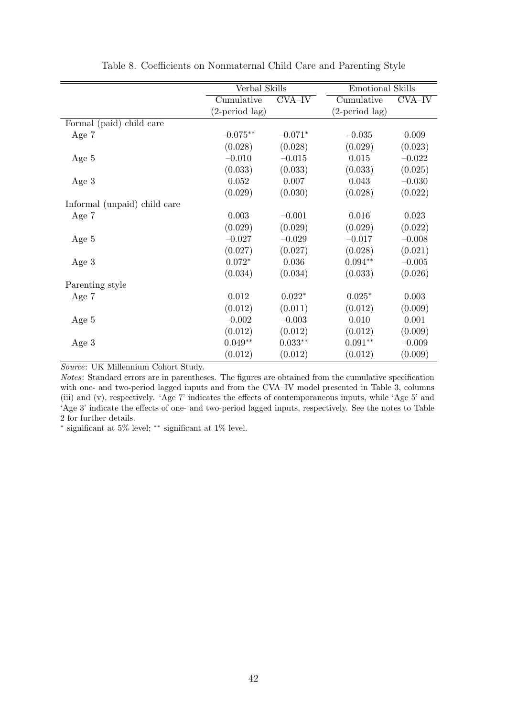|                              | Verbal Skills           |           | <b>Emotional Skills</b> |          |
|------------------------------|-------------------------|-----------|-------------------------|----------|
|                              | Cumulative              | CVA-IV    | Cumulative              | CVA-IV   |
|                              | $(2\text{-period lag})$ |           | $(2\text{-period lag})$ |          |
| Formal (paid) child care     |                         |           |                         |          |
| Age 7                        | $-0.075**$              | $-0.071*$ | $-0.035$                | 0.009    |
|                              | (0.028)                 | (0.028)   | (0.029)                 | (0.023)  |
| Age 5                        | $-0.010$                | $-0.015$  | 0.015                   | $-0.022$ |
|                              | (0.033)                 | (0.033)   | (0.033)                 | (0.025)  |
| Age $3$                      | 0.052                   | 0.007     | 0.043                   | $-0.030$ |
|                              | (0.029)                 | (0.030)   | (0.028)                 | (0.022)  |
| Informal (unpaid) child care |                         |           |                         |          |
| Age 7                        | 0.003                   | $-0.001$  | 0.016                   | 0.023    |
|                              | (0.029)                 | (0.029)   | (0.029)                 | (0.022)  |
| Age $5$                      | $-0.027$                | $-0.029$  | $-0.017$                | $-0.008$ |
|                              | (0.027)                 | (0.027)   | (0.028)                 | (0.021)  |
| Age $3$                      | $0.072*$                | 0.036     | $0.094^{\ast\ast}$      | $-0.005$ |
|                              | (0.034)                 | (0.034)   | (0.033)                 | (0.026)  |
| Parenting style              |                         |           |                         |          |
| Age $7$                      | 0.012                   | $0.022*$  | $0.025*$                | 0.003    |
|                              | (0.012)                 | (0.011)   | (0.012)                 | (0.009)  |
| Age 5                        | $-0.002$                | $-0.003$  | 0.010                   | 0.001    |
|                              | (0.012)                 | (0.012)   | (0.012)                 | (0.009)  |
| Age $3$                      | $0.049**$               | $0.033**$ | $0.091**$               | $-0.009$ |
|                              | (0.012)                 | (0.012)   | (0.012)                 | (0.009)  |

Table 8. Coefficients on Nonmaternal Child Care and Parenting Style

Notes: Standard errors are in parentheses. The figures are obtained from the cumulative specification with one- and two-period lagged inputs and from the CVA–IV model presented in Table 3, columns (iii) and (v), respectively. 'Age 7' indicates the effects of contemporaneous inputs, while 'Age 5' and 'Age 3' indicate the effects of one- and two-period lagged inputs, respectively. See the notes to Table 2 for further details.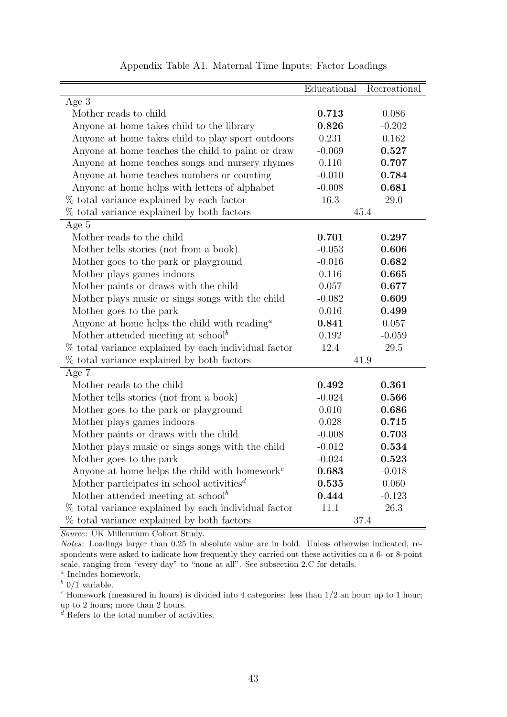|                                                                        | Educational | Recreational |
|------------------------------------------------------------------------|-------------|--------------|
| Age 3                                                                  |             |              |
| Mother reads to child                                                  | 0.713       | 0.086        |
| Anyone at home takes child to the library                              | 0.826       | $-0.202$     |
| Anyone at home takes child to play sport outdoors                      | 0.231       | 0.162        |
| Anyone at home teaches the child to paint or draw                      | $-0.069$    | 0.527        |
| Anyone at home teaches songs and nursery rhymes                        | 0.110       | 0.707        |
| Anyone at home teaches numbers or counting                             | $-0.010$    | 0.784        |
| Anyone at home helps with letters of alphabet                          | $-0.008$    | 0.681        |
| % total variance explained by each factor                              | 16.3        | 29.0         |
| % total variance explained by both factors                             |             | 45.4         |
| Age 5                                                                  |             |              |
| Mother reads to the child                                              | 0.701       | 0.297        |
| Mother tells stories (not from a book)                                 | $-0.053$    | 0.606        |
| Mother goes to the park or playground                                  | $-0.016$    | 0.682        |
| Mother plays games indoors                                             | 0.116       | 0.665        |
| Mother paints or draws with the child                                  | 0.057       | 0.677        |
| Mother plays music or sings songs with the child                       | $-0.082$    | 0.609        |
| Mother goes to the park                                                | 0.016       | 0.499        |
| Anyone at home helps the child with reading $a^a$                      | 0.841       | 0.057        |
| Mother attended meeting at school <sup>b</sup>                         | 0.192       | $-0.059$     |
| % total variance explained by each individual factor                   | 12.4        | 29.5         |
| % total variance explained by both factors                             |             | 41.9         |
| Age 7                                                                  |             |              |
| Mother reads to the child                                              | 0.492       | 0.361        |
| Mother tells stories (not from a book)                                 | $-0.024$    | 0.566        |
| Mother goes to the park or playground                                  | 0.010       | 0.686        |
| Mother plays games indoors                                             | 0.028       | 0.715        |
| Mother paints or draws with the child                                  | $-0.008$    | 0.703        |
| Mother plays music or sings songs with the child                       | $-0.012$    | 0.534        |
| Mother goes to the park                                                | $-0.024$    | 0.523        |
| Anyone at home helps the child with homework <sup><math>c</math></sup> | 0.683       | $-0.018$     |
| Mother participates in school activities <sup><math>d</math></sup>     | 0.535       | 0.060        |
| Mother attended meeting at $\mathrm{school}^b$                         | 0.444       | $-0.123$     |
| % total variance explained by each individual factor                   | 11.1        | 26.3         |
| % total variance explained by both factors                             |             | $37.4\,$     |

Appendix Table A1. Maternal Time Inputs: Factor Loadings

Notes: Loadings larger than 0.25 in absolute value are in bold. Unless otherwise indicated, respondents were asked to indicate how frequently they carried out these activities on a 6- or 8-point scale, ranging from "every day" to "none at all". See subsection 2.C for details.

a Includes homework.

 $b$  0/1 variable.

 $c$  Homework (measured in hours) is divided into 4 categories: less than  $1/2$  an hour; up to 1 hour; up to 2 hours; more than 2 hours.

 $\overline{d}$  Refers to the total number of activities.